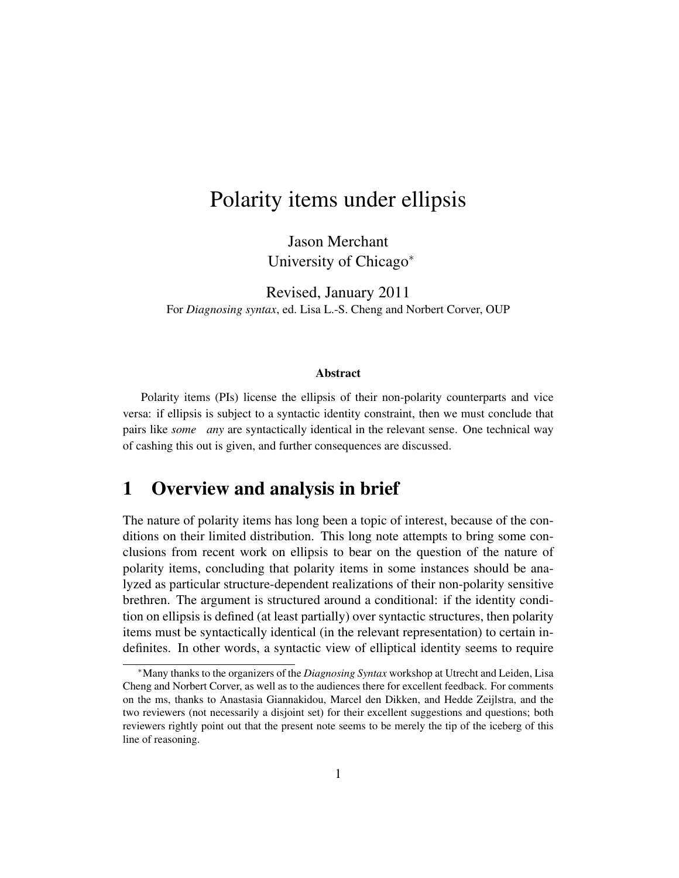# Polarity items under ellipsis

Jason Merchant University of Chicago<sup>∗</sup>

Revised, January 2011 For *Diagnosing syntax*, ed. Lisa L.-S. Cheng and Norbert Corver, OUP

#### Abstract

Polarity items (PIs) license the ellipsis of their non-polarity counterparts and vice versa: if ellipsis is subject to a syntactic identity constraint, then we must conclude that pairs like *some any* are syntactically identical in the relevant sense. One technical way of cashing this out is given, and further consequences are discussed.

### 1 Overview and analysis in brief

The nature of polarity items has long been a topic of interest, because of the conditions on their limited distribution. This long note attempts to bring some conclusions from recent work on ellipsis to bear on the question of the nature of polarity items, concluding that polarity items in some instances should be analyzed as particular structure-dependent realizations of their non-polarity sensitive brethren. The argument is structured around a conditional: if the identity condition on ellipsis is defined (at least partially) over syntactic structures, then polarity items must be syntactically identical (in the relevant representation) to certain indefinites. In other words, a syntactic view of elliptical identity seems to require

<sup>∗</sup>Many thanks to the organizers of the *Diagnosing Syntax* workshop at Utrecht and Leiden, Lisa Cheng and Norbert Corver, as well as to the audiences there for excellent feedback. For comments on the ms, thanks to Anastasia Giannakidou, Marcel den Dikken, and Hedde Zeijlstra, and the two reviewers (not necessarily a disjoint set) for their excellent suggestions and questions; both reviewers rightly point out that the present note seems to be merely the tip of the iceberg of this line of reasoning.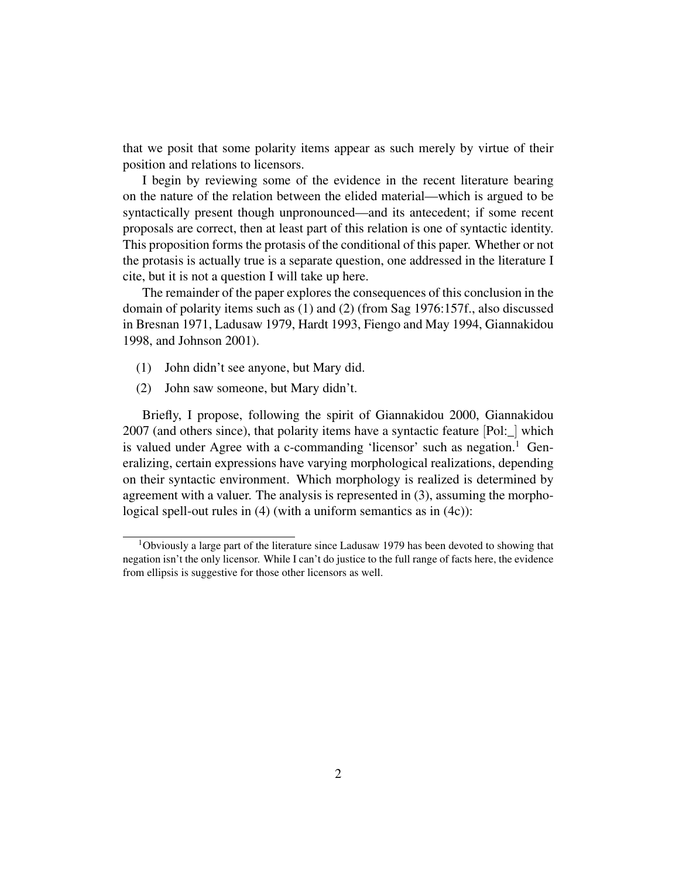that we posit that some polarity items appear as such merely by virtue of their position and relations to licensors.

I begin by reviewing some of the evidence in the recent literature bearing on the nature of the relation between the elided material—which is argued to be syntactically present though unpronounced—and its antecedent; if some recent proposals are correct, then at least part of this relation is one of syntactic identity. This proposition forms the protasis of the conditional of this paper. Whether or not the protasis is actually true is a separate question, one addressed in the literature I cite, but it is not a question I will take up here.

The remainder of the paper explores the consequences of this conclusion in the domain of polarity items such as (1) and (2) (from Sag 1976:157f., also discussed in Bresnan 1971, Ladusaw 1979, Hardt 1993, Fiengo and May 1994, Giannakidou 1998, and Johnson 2001).

- (1) John didn't see anyone, but Mary did.
- (2) John saw someone, but Mary didn't.

Briefly, I propose, following the spirit of Giannakidou 2000, Giannakidou 2007 (and others since), that polarity items have a syntactic feature [Pol:\_] which is valued under Agree with a c-commanding 'licensor' such as negation.<sup>1</sup> Generalizing, certain expressions have varying morphological realizations, depending on their syntactic environment. Which morphology is realized is determined by agreement with a valuer. The analysis is represented in (3), assuming the morphological spell-out rules in (4) (with a uniform semantics as in (4c)):

<sup>1</sup>Obviously a large part of the literature since Ladusaw 1979 has been devoted to showing that negation isn't the only licensor. While I can't do justice to the full range of facts here, the evidence from ellipsis is suggestive for those other licensors as well.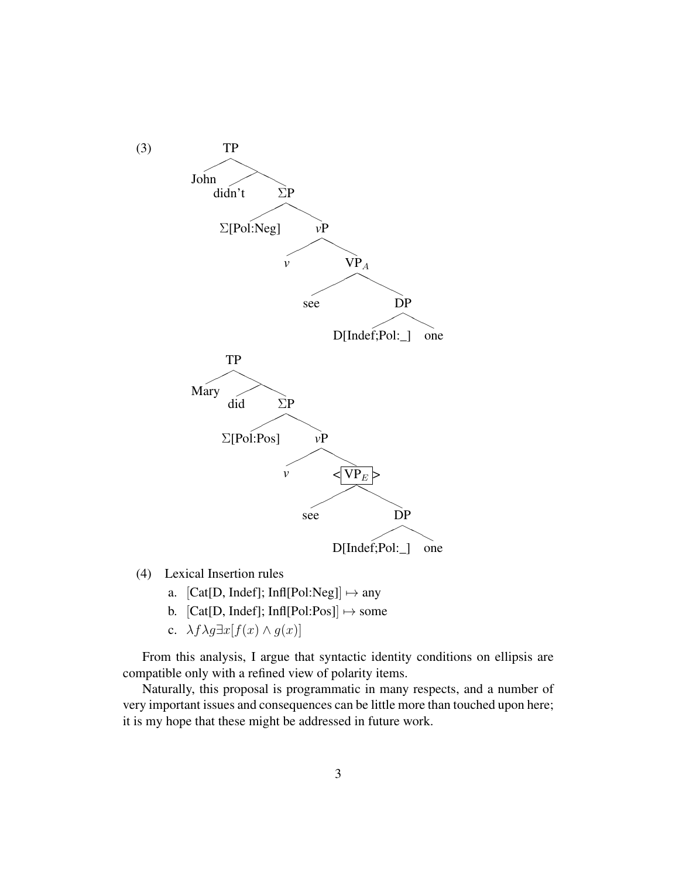

- (4) Lexical Insertion rules
	- a.  $[Cat[D, Indef]; Inf[Pol:Neg]] \mapsto any$
	- b.  $[Cat[D, Indef]; Inf[Pol:Pos]] \mapsto$  some
	- c.  $\lambda f \lambda g \exists x [f(x) \wedge g(x)]$

From this analysis, I argue that syntactic identity conditions on ellipsis are compatible only with a refined view of polarity items.

Naturally, this proposal is programmatic in many respects, and a number of very important issues and consequences can be little more than touched upon here; it is my hope that these might be addressed in future work.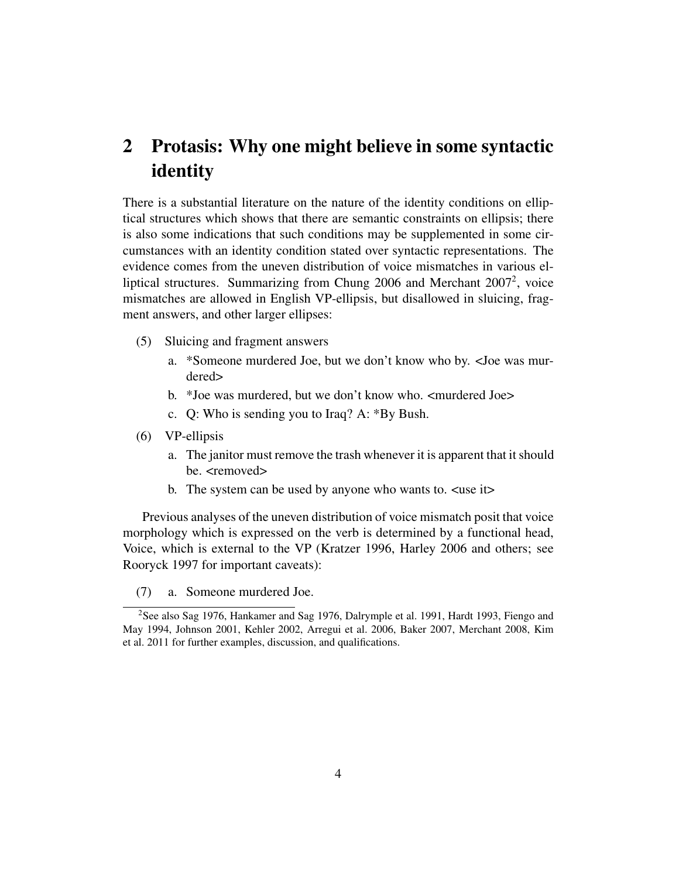# 2 Protasis: Why one might believe in some syntactic identity

There is a substantial literature on the nature of the identity conditions on elliptical structures which shows that there are semantic constraints on ellipsis; there is also some indications that such conditions may be supplemented in some circumstances with an identity condition stated over syntactic representations. The evidence comes from the uneven distribution of voice mismatches in various elliptical structures. Summarizing from Chung 2006 and Merchant 2007<sup>2</sup>, voice mismatches are allowed in English VP-ellipsis, but disallowed in sluicing, fragment answers, and other larger ellipses:

- (5) Sluicing and fragment answers
	- a. \*Someone murdered Joe, but we don't know who by. <Joe was murdered>
	- b. \*Joe was murdered, but we don't know who. <murdered Joe>
	- c. Q: Who is sending you to Iraq? A: \*By Bush.
- (6) VP-ellipsis
	- a. The janitor must remove the trash whenever it is apparent that it should be. <removed>
	- b. The system can be used by anyone who wants to. <use it>

Previous analyses of the uneven distribution of voice mismatch posit that voice morphology which is expressed on the verb is determined by a functional head, Voice, which is external to the VP (Kratzer 1996, Harley 2006 and others; see Rooryck 1997 for important caveats):

(7) a. Someone murdered Joe.

<sup>&</sup>lt;sup>2</sup>See also Sag 1976, Hankamer and Sag 1976, Dalrymple et al. 1991, Hardt 1993, Fiengo and May 1994, Johnson 2001, Kehler 2002, Arregui et al. 2006, Baker 2007, Merchant 2008, Kim et al. 2011 for further examples, discussion, and qualifications.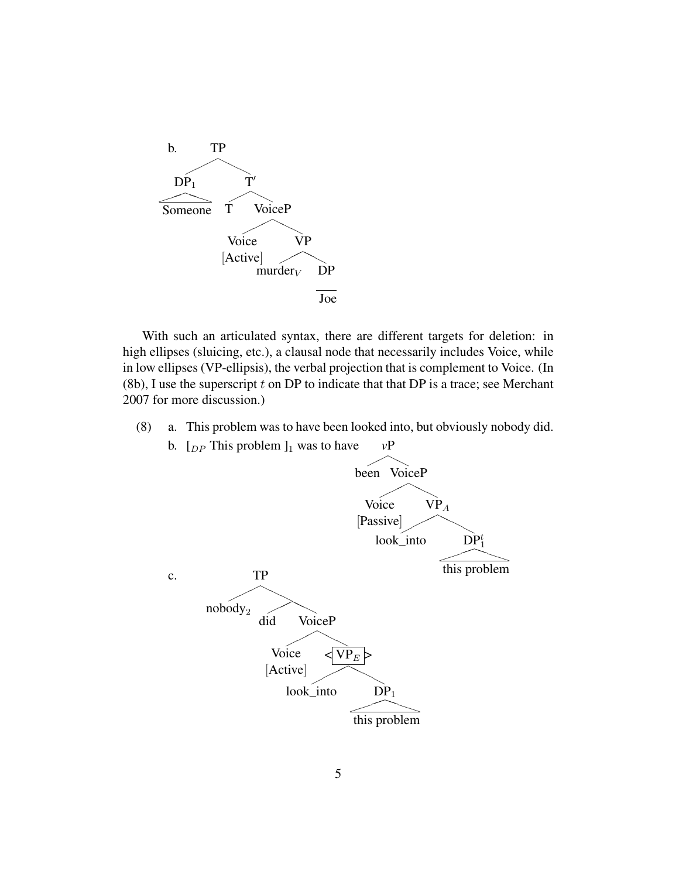

With such an articulated syntax, there are different targets for deletion: in high ellipses (sluicing, etc.), a clausal node that necessarily includes Voice, while in low ellipses (VP-ellipsis), the verbal projection that is complement to Voice. (In  $(8b)$ , I use the superscript t on DP to indicate that that DP is a trace; see Merchant 2007 for more discussion.)

(8) a. This problem was to have been looked into, but obviously nobody did. b.  $[_{DP}$  This problem  $]_1$  was to have  $vP$ 

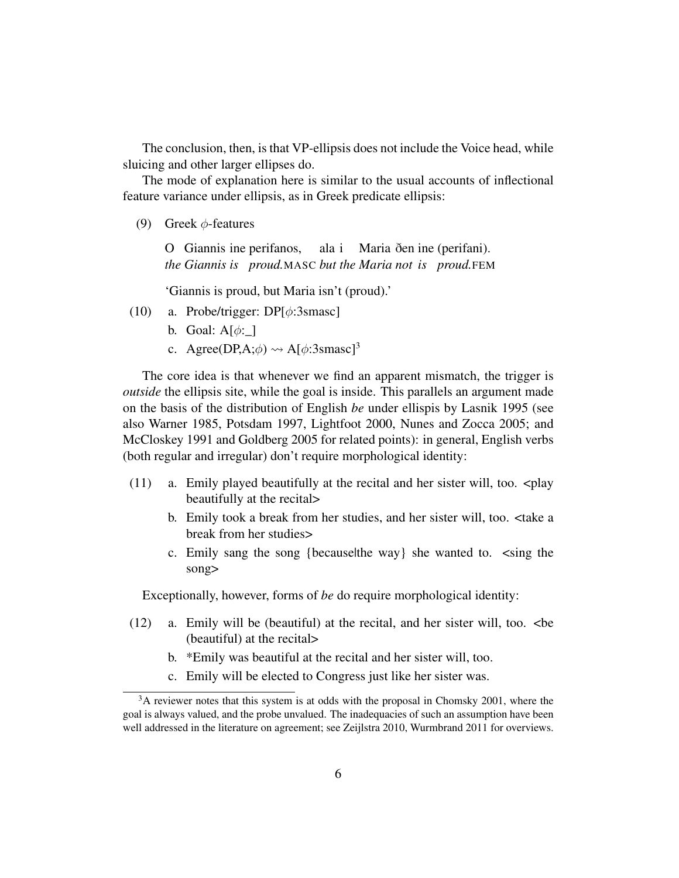The conclusion, then, is that VP-ellipsis does not include the Voice head, while sluicing and other larger ellipses do.

The mode of explanation here is similar to the usual accounts of inflectional feature variance under ellipsis, as in Greek predicate ellipsis:

(9) Greek  $\phi$ -features

O Giannis ine perifanos, *the Giannis is* proud.MASC but the Maria not *is proud.FEM* ala i Maria ðen ine (perifani).

'Giannis is proud, but Maria isn't (proud).'

- (10) a. Probe/trigger: DP[φ:3smasc]
	- b. Goal:  $A[\phi:$  ]
	- c. Agree(DP,A; $\phi$ )  $\rightsquigarrow$  A[ $\phi$ :3smasc]<sup>3</sup>

The core idea is that whenever we find an apparent mismatch, the trigger is *outside* the ellipsis site, while the goal is inside. This parallels an argument made on the basis of the distribution of English *be* under ellispis by Lasnik 1995 (see also Warner 1985, Potsdam 1997, Lightfoot 2000, Nunes and Zocca 2005; and McCloskey 1991 and Goldberg 2005 for related points): in general, English verbs (both regular and irregular) don't require morphological identity:

- $(11)$  a. Emily played beautifully at the recital and her sister will, too.  $\langle$ play beautifully at the recital>
	- b. Emily took a break from her studies, and her sister will, too. <take a break from her studies>
	- c. Emily sang the song {because|the way} she wanted to. <sing the song>

Exceptionally, however, forms of *be* do require morphological identity:

- (12) a. Emily will be (beautiful) at the recital, and her sister will, too. <be (beautiful) at the recital>
	- b. \*Emily was beautiful at the recital and her sister will, too.
	- c. Emily will be elected to Congress just like her sister was.

<sup>&</sup>lt;sup>3</sup>A reviewer notes that this system is at odds with the proposal in Chomsky 2001, where the goal is always valued, and the probe unvalued. The inadequacies of such an assumption have been well addressed in the literature on agreement; see Zeijlstra 2010, Wurmbrand 2011 for overviews.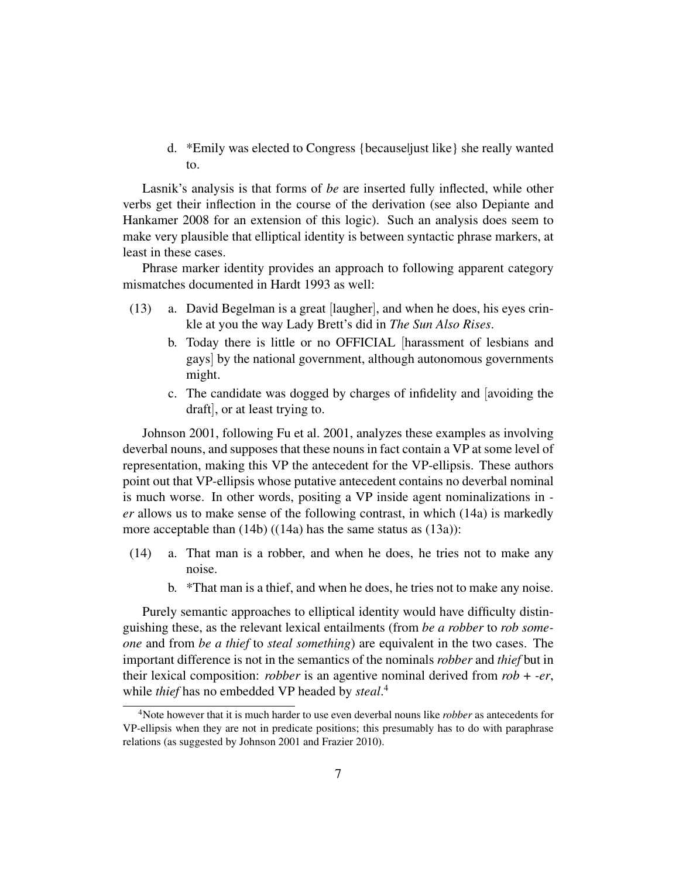d. \*Emily was elected to Congress {because|just like} she really wanted to.

Lasnik's analysis is that forms of *be* are inserted fully inflected, while other verbs get their inflection in the course of the derivation (see also Depiante and Hankamer 2008 for an extension of this logic). Such an analysis does seem to make very plausible that elliptical identity is between syntactic phrase markers, at least in these cases.

Phrase marker identity provides an approach to following apparent category mismatches documented in Hardt 1993 as well:

- (13) a. David Begelman is a great [laugher], and when he does, his eyes crinkle at you the way Lady Brett's did in *The Sun Also Rises*.
	- b. Today there is little or no OFFICIAL [harassment of lesbians and gays] by the national government, although autonomous governments might.
	- c. The candidate was dogged by charges of infidelity and [avoiding the draft], or at least trying to.

Johnson 2001, following Fu et al. 2001, analyzes these examples as involving deverbal nouns, and supposes that these nouns in fact contain a VP at some level of representation, making this VP the antecedent for the VP-ellipsis. These authors point out that VP-ellipsis whose putative antecedent contains no deverbal nominal is much worse. In other words, positing a VP inside agent nominalizations in  *er* allows us to make sense of the following contrast, in which (14a) is markedly more acceptable than (14b) ((14a) has the same status as (13a)):

- (14) a. That man is a robber, and when he does, he tries not to make any noise.
	- b. \*That man is a thief, and when he does, he tries not to make any noise.

Purely semantic approaches to elliptical identity would have difficulty distinguishing these, as the relevant lexical entailments (from *be a robber* to *rob someone* and from *be a thief* to *steal something*) are equivalent in the two cases. The important difference is not in the semantics of the nominals *robber* and *thief* but in their lexical composition: *robber* is an agentive nominal derived from *rob* + *-er*, while *thief* has no embedded VP headed by *steal*. 4

<sup>4</sup>Note however that it is much harder to use even deverbal nouns like *robber* as antecedents for VP-ellipsis when they are not in predicate positions; this presumably has to do with paraphrase relations (as suggested by Johnson 2001 and Frazier 2010).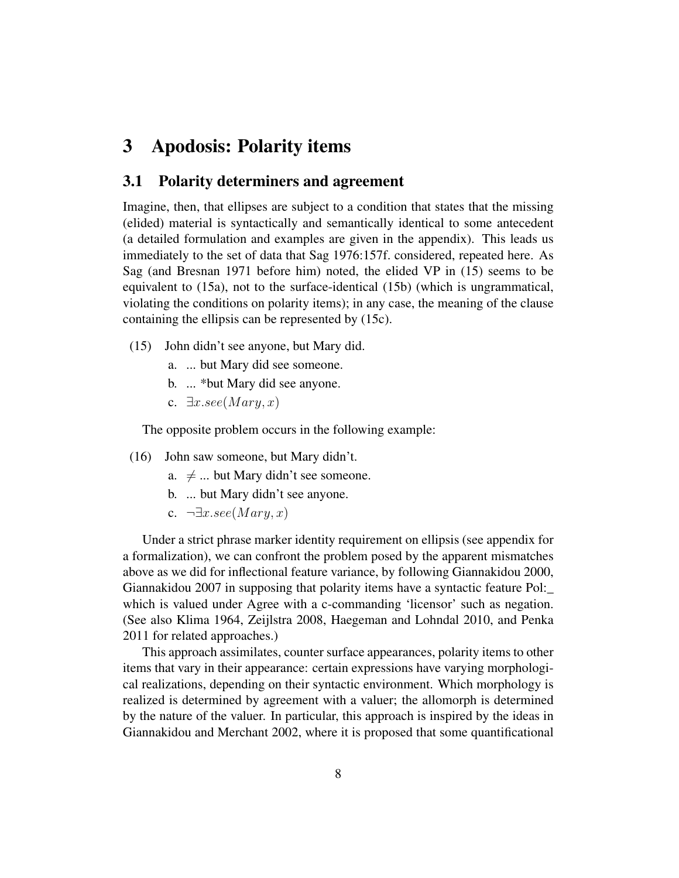### 3 Apodosis: Polarity items

### 3.1 Polarity determiners and agreement

Imagine, then, that ellipses are subject to a condition that states that the missing (elided) material is syntactically and semantically identical to some antecedent (a detailed formulation and examples are given in the appendix). This leads us immediately to the set of data that Sag 1976:157f. considered, repeated here. As Sag (and Bresnan 1971 before him) noted, the elided VP in (15) seems to be equivalent to (15a), not to the surface-identical (15b) (which is ungrammatical, violating the conditions on polarity items); in any case, the meaning of the clause containing the ellipsis can be represented by (15c).

- (15) John didn't see anyone, but Mary did.
	- a. ... but Mary did see someone.
	- b. ... \*but Mary did see anyone.
	- c.  $\exists x. see (Mary, x)$

The opposite problem occurs in the following example:

- (16) John saw someone, but Mary didn't.
	- a.  $\neq$  ... but Mary didn't see someone.
	- b. ... but Mary didn't see anyone.
	- c.  $\neg \exists x. see (Mary, x)$

Under a strict phrase marker identity requirement on ellipsis (see appendix for a formalization), we can confront the problem posed by the apparent mismatches above as we did for inflectional feature variance, by following Giannakidou 2000, Giannakidou 2007 in supposing that polarity items have a syntactic feature Pol:\_ which is valued under Agree with a c-commanding 'licensor' such as negation. (See also Klima 1964, Zeijlstra 2008, Haegeman and Lohndal 2010, and Penka 2011 for related approaches.)

This approach assimilates, counter surface appearances, polarity items to other items that vary in their appearance: certain expressions have varying morphological realizations, depending on their syntactic environment. Which morphology is realized is determined by agreement with a valuer; the allomorph is determined by the nature of the valuer. In particular, this approach is inspired by the ideas in Giannakidou and Merchant 2002, where it is proposed that some quantificational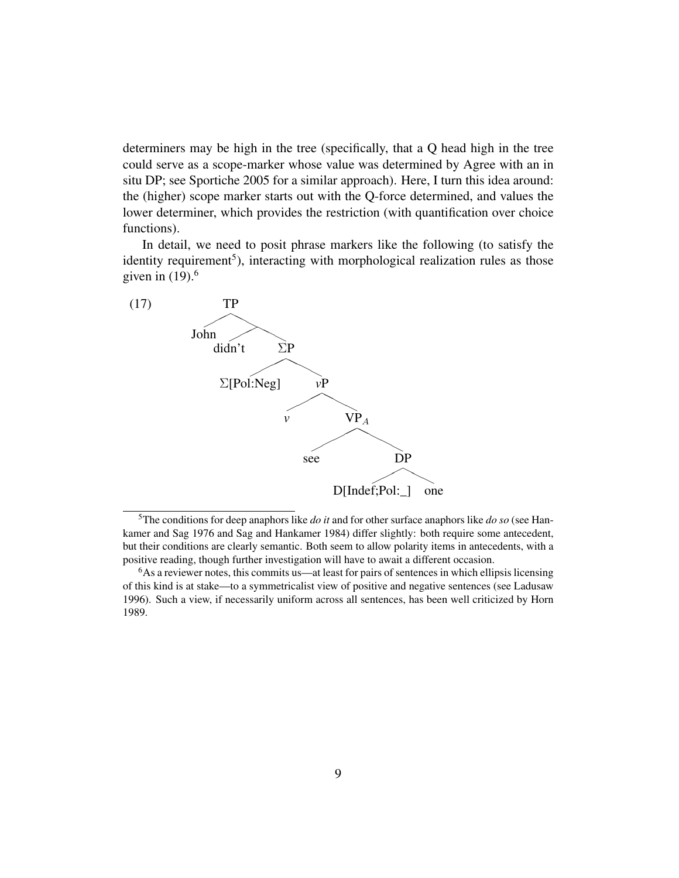determiners may be high in the tree (specifically, that a Q head high in the tree could serve as a scope-marker whose value was determined by Agree with an in situ DP; see Sportiche 2005 for a similar approach). Here, I turn this idea around: the (higher) scope marker starts out with the Q-force determined, and values the lower determiner, which provides the restriction (with quantification over choice functions).

In detail, we need to posit phrase markers like the following (to satisfy the identity requirement<sup>5</sup>), interacting with morphological realization rules as those given in  $(19)$ .<sup>6</sup>



<sup>5</sup>The conditions for deep anaphors like *do it* and for other surface anaphors like *do so* (see Hankamer and Sag 1976 and Sag and Hankamer 1984) differ slightly: both require some antecedent, but their conditions are clearly semantic. Both seem to allow polarity items in antecedents, with a positive reading, though further investigation will have to await a different occasion.

<sup>&</sup>lt;sup>6</sup>As a reviewer notes, this commits us—at least for pairs of sentences in which ellipsis licensing of this kind is at stake—to a symmetricalist view of positive and negative sentences (see Ladusaw 1996). Such a view, if necessarily uniform across all sentences, has been well criticized by Horn 1989.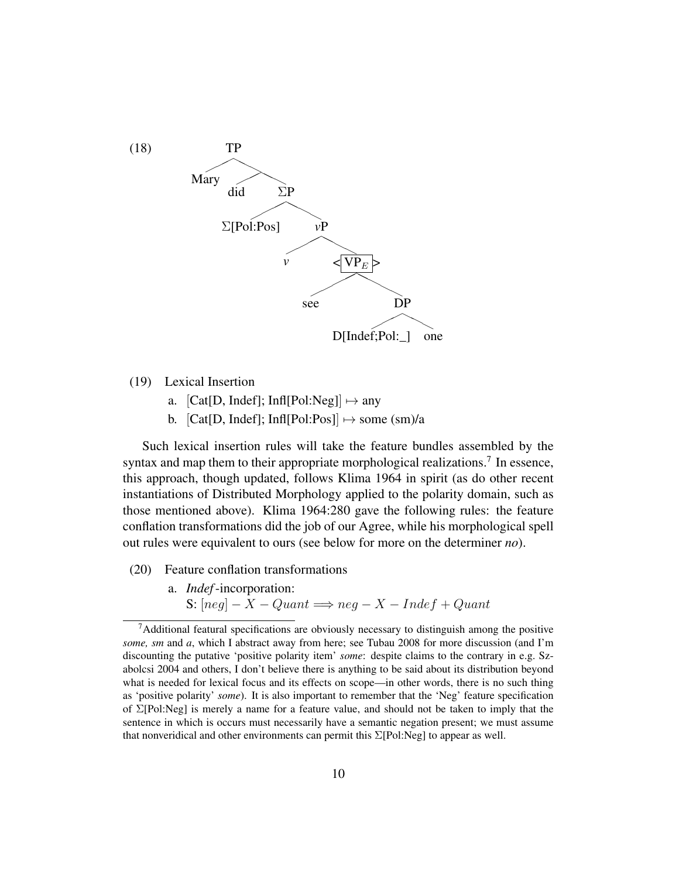

(19) Lexical Insertion

- a.  $[Cat[D, Indef]; Inf[Pol:Neg]] \mapsto any$
- b.  $[Cat[D, Indef]; Inf[Pol:Pos]] \rightarrow some (sm)/a$

Such lexical insertion rules will take the feature bundles assembled by the syntax and map them to their appropriate morphological realizations.<sup>7</sup> In essence, this approach, though updated, follows Klima 1964 in spirit (as do other recent instantiations of Distributed Morphology applied to the polarity domain, such as those mentioned above). Klima 1964:280 gave the following rules: the feature conflation transformations did the job of our Agree, while his morphological spell out rules were equivalent to ours (see below for more on the determiner *no*).

- (20) Feature conflation transformations
	- a. *Indef*-incorporation: S:  $[neg] - X - Quant \implies neg - X - Indef + Quant$

 $<sup>7</sup>$ Additional featural specifications are obviously necessary to distinguish among the positive</sup> *some, sm* and *a*, which I abstract away from here; see Tubau 2008 for more discussion (and I'm discounting the putative 'positive polarity item' *some*: despite claims to the contrary in e.g. Szabolcsi 2004 and others, I don't believe there is anything to be said about its distribution beyond what is needed for lexical focus and its effects on scope—in other words, there is no such thing as 'positive polarity' *some*). It is also important to remember that the 'Neg' feature specification of Σ[Pol:Neg] is merely a name for a feature value, and should not be taken to imply that the sentence in which is occurs must necessarily have a semantic negation present; we must assume that nonveridical and other environments can permit this  $\Sigma$ [Pol:Neg] to appear as well.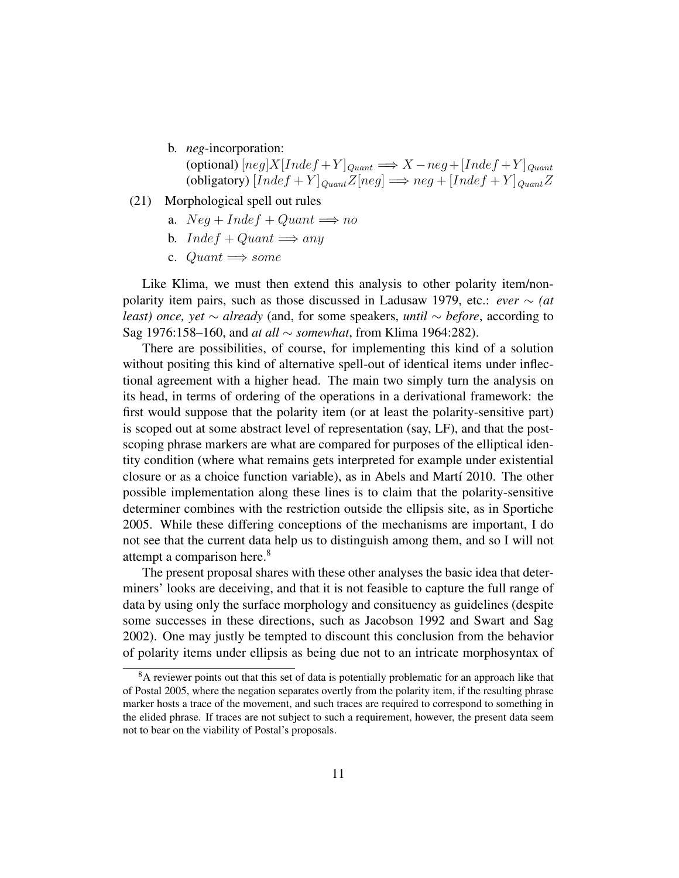b. *neg*-incorporation:

(optional)  $[neg]X[Index + Y]_{Quant} \Longrightarrow X-neg + [Index + Y]_{Quant}$ (obligatory)  $[Index + Y]_{Quant}Z[neg] \Longrightarrow neg + [Index + Y]_{Quant}Z$ 

- (21) Morphological spell out rules
	- a.  $Neg + Indef + Quant \implies no$
	- b.  $Index + Quantum \implies any$
	- c.  $Quant \Longrightarrow some$

Like Klima, we must then extend this analysis to other polarity item/nonpolarity item pairs, such as those discussed in Ladusaw 1979, etc.: *ever* ∼ *(at least) once, yet* ∼ *already* (and, for some speakers, *until* ∼ *before*, according to Sag 1976:158–160, and *at all* ∼ *somewhat*, from Klima 1964:282).

There are possibilities, of course, for implementing this kind of a solution without positing this kind of alternative spell-out of identical items under inflectional agreement with a higher head. The main two simply turn the analysis on its head, in terms of ordering of the operations in a derivational framework: the first would suppose that the polarity item (or at least the polarity-sensitive part) is scoped out at some abstract level of representation (say, LF), and that the postscoping phrase markers are what are compared for purposes of the elliptical identity condition (where what remains gets interpreted for example under existential closure or as a choice function variable), as in Abels and Martí 2010. The other possible implementation along these lines is to claim that the polarity-sensitive determiner combines with the restriction outside the ellipsis site, as in Sportiche 2005. While these differing conceptions of the mechanisms are important, I do not see that the current data help us to distinguish among them, and so I will not attempt a comparison here.<sup>8</sup>

The present proposal shares with these other analyses the basic idea that determiners' looks are deceiving, and that it is not feasible to capture the full range of data by using only the surface morphology and consituency as guidelines (despite some successes in these directions, such as Jacobson 1992 and Swart and Sag 2002). One may justly be tempted to discount this conclusion from the behavior of polarity items under ellipsis as being due not to an intricate morphosyntax of

<sup>&</sup>lt;sup>8</sup>A reviewer points out that this set of data is potentially problematic for an approach like that of Postal 2005, where the negation separates overtly from the polarity item, if the resulting phrase marker hosts a trace of the movement, and such traces are required to correspond to something in the elided phrase. If traces are not subject to such a requirement, however, the present data seem not to bear on the viability of Postal's proposals.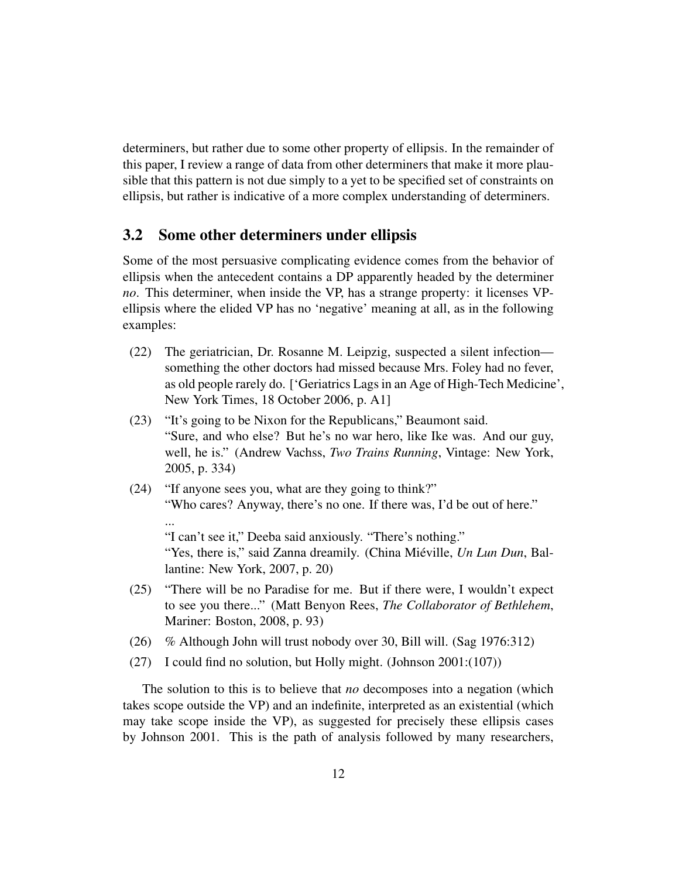determiners, but rather due to some other property of ellipsis. In the remainder of this paper, I review a range of data from other determiners that make it more plausible that this pattern is not due simply to a yet to be specified set of constraints on ellipsis, but rather is indicative of a more complex understanding of determiners.

### 3.2 Some other determiners under ellipsis

...

Some of the most persuasive complicating evidence comes from the behavior of ellipsis when the antecedent contains a DP apparently headed by the determiner *no*. This determiner, when inside the VP, has a strange property: it licenses VPellipsis where the elided VP has no 'negative' meaning at all, as in the following examples:

- (22) The geriatrician, Dr. Rosanne M. Leipzig, suspected a silent infection something the other doctors had missed because Mrs. Foley had no fever, as old people rarely do. ['Geriatrics Lags in an Age of High-Tech Medicine', New York Times, 18 October 2006, p. A1]
- (23) "It's going to be Nixon for the Republicans," Beaumont said. "Sure, and who else? But he's no war hero, like Ike was. And our guy, well, he is." (Andrew Vachss, *Two Trains Running*, Vintage: New York, 2005, p. 334)
- (24) "If anyone sees you, what are they going to think?" "Who cares? Anyway, there's no one. If there was, I'd be out of here."

"I can't see it," Deeba said anxiously. "There's nothing." "Yes, there is," said Zanna dreamily. (China Miéville, *Un Lun Dun*, Ballantine: New York, 2007, p. 20)

- (25) "There will be no Paradise for me. But if there were, I wouldn't expect to see you there..." (Matt Benyon Rees, *The Collaborator of Bethlehem*, Mariner: Boston, 2008, p. 93)
- (26) % Although John will trust nobody over 30, Bill will. (Sag 1976:312)
- (27) I could find no solution, but Holly might. (Johnson 2001:(107))

The solution to this is to believe that *no* decomposes into a negation (which takes scope outside the VP) and an indefinite, interpreted as an existential (which may take scope inside the VP), as suggested for precisely these ellipsis cases by Johnson 2001. This is the path of analysis followed by many researchers,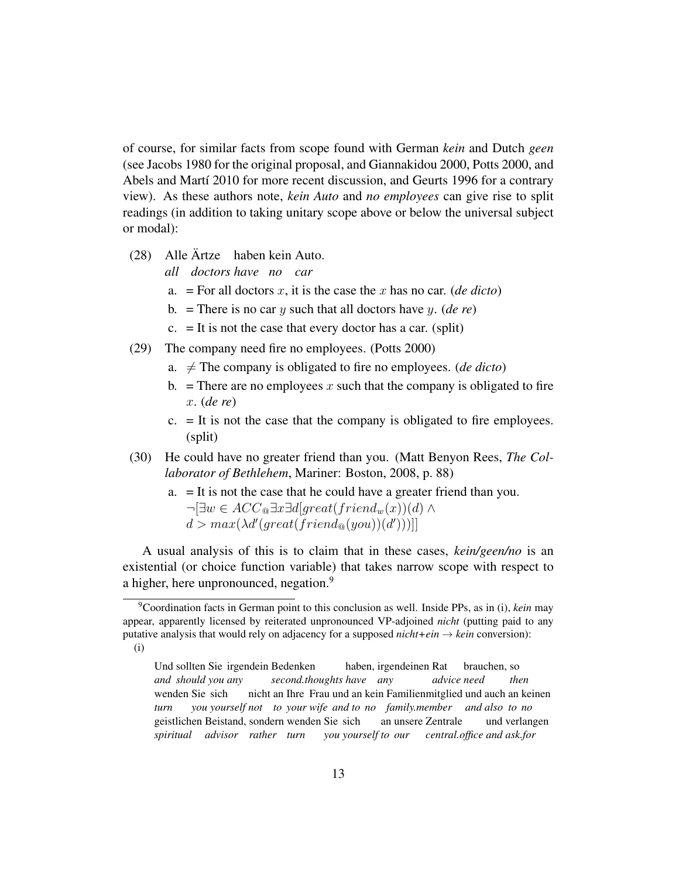of course, for similar facts from scope found with German *kein* and Dutch *geen* (see Jacobs 1980 for the original proposal, and Giannakidou 2000, Potts 2000, and Abels and Martí 2010 for more recent discussion, and Geurts 1996 for a contrary view). As these authors note, *kein Auto* and *no employees* can give rise to split readings (in addition to taking unitary scope above or below the universal subject or modal):

- (28) Alle Ärtze haben kein Auto.
	- *all doctors have no car*
	- a.  $=$  For all doctors x, it is the case the x has no car. (*de dicto*)
	- b. = There is no car y such that all doctors have y. (*de re*)
	- $c. =$  It is not the case that every doctor has a car. (split)
- (29) The company need fire no employees. (Potts 2000)
	- a.  $\neq$  The company is obligated to fire no employees. (*de dicto*)
	- b. = There are no employees x such that the company is obligated to fire x. (*de re*)
	- $c. =$  It is not the case that the company is obligated to fire employees. (split)
- (30) He could have no greater friend than you. (Matt Benyon Rees, *The Collaborator of Bethlehem*, Mariner: Boston, 2008, p. 88)
	- a. = It is not the case that he could have a greater friend than you.  $\neg \exists w \in ACC_{\mathcal{A}} \exists x \exists d | great(friend_w(x))(d) \land$  $d > max(\lambda d'(great(friend_{\mathcal{Q}}(you))(d')))]$

A usual analysis of this is to claim that in these cases, *kein/geen/no* is an existential (or choice function variable) that takes narrow scope with respect to a higher, here unpronounced, negation.<sup>9</sup>

<sup>9</sup>Coordination facts in German point to this conclusion as well. Inside PPs, as in (i), *kein* may appear, apparently licensed by reiterated unpronounced VP-adjoined *nicht* (putting paid to any putative analysis that would rely on adjacency for a supposed  $nicht+ein \rightarrow kein$  conversion): (i)

Und sollten Sie irgendein Bedenken *and should you any second.thoughts have any* haben, irgendeinen Rat brauchen, so *advice need then* wenden Sie sich *turn you yourself not to your wife and to no family.member and also to no* nicht an Ihre Frau und an kein Familienmitglied und auch an keinen geistlichen Beistand, sondern wenden Sie sich *spiritual advisor rather turn you yourself to our* an unsere Zentrale *central.office and ask.for* und verlangen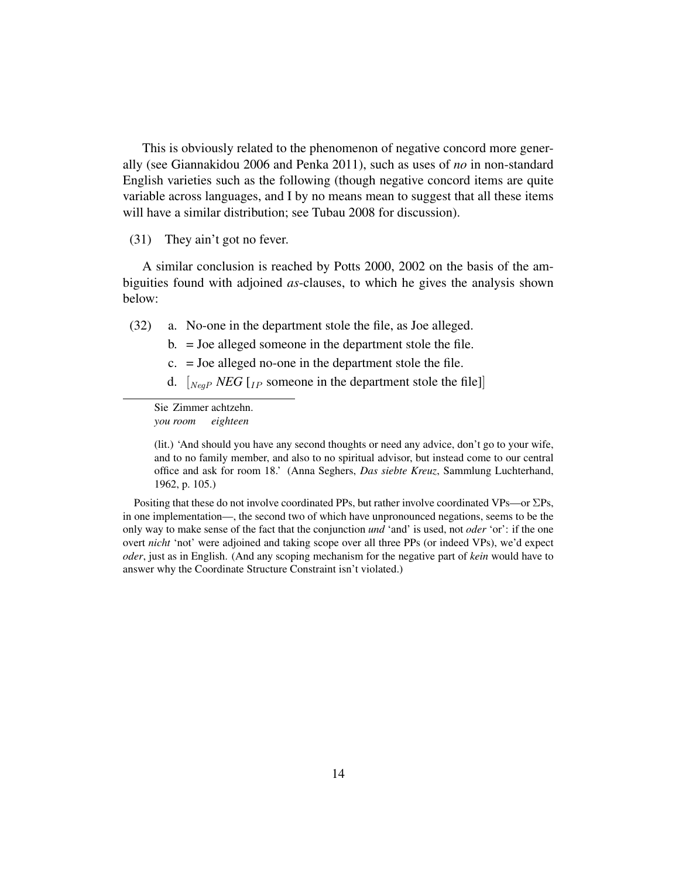This is obviously related to the phenomenon of negative concord more generally (see Giannakidou 2006 and Penka 2011), such as uses of *no* in non-standard English varieties such as the following (though negative concord items are quite variable across languages, and I by no means mean to suggest that all these items will have a similar distribution; see Tubau 2008 for discussion).

#### (31) They ain't got no fever.

A similar conclusion is reached by Potts 2000, 2002 on the basis of the ambiguities found with adjoined *as*-clauses, to which he gives the analysis shown below:

- (32) a. No-one in the department stole the file, as Joe alleged.
	- b. = Joe alleged someone in the department stole the file.
	- c. = Joe alleged no-one in the department stole the file.
	- d. [NegP *NEG* [IP someone in the department stole the file]]

Sie Zimmer achtzehn. *you room eighteen*

(lit.) 'And should you have any second thoughts or need any advice, don't go to your wife, and to no family member, and also to no spiritual advisor, but instead come to our central office and ask for room 18.' (Anna Seghers, *Das siebte Kreuz*, Sammlung Luchterhand, 1962, p. 105.)

Positing that these do not involve coordinated PPs, but rather involve coordinated VPs—or  $\Sigma$ Ps, in one implementation—, the second two of which have unpronounced negations, seems to be the only way to make sense of the fact that the conjunction *und* 'and' is used, not *oder* 'or': if the one overt *nicht* 'not' were adjoined and taking scope over all three PPs (or indeed VPs), we'd expect *oder*, just as in English. (And any scoping mechanism for the negative part of *kein* would have to answer why the Coordinate Structure Constraint isn't violated.)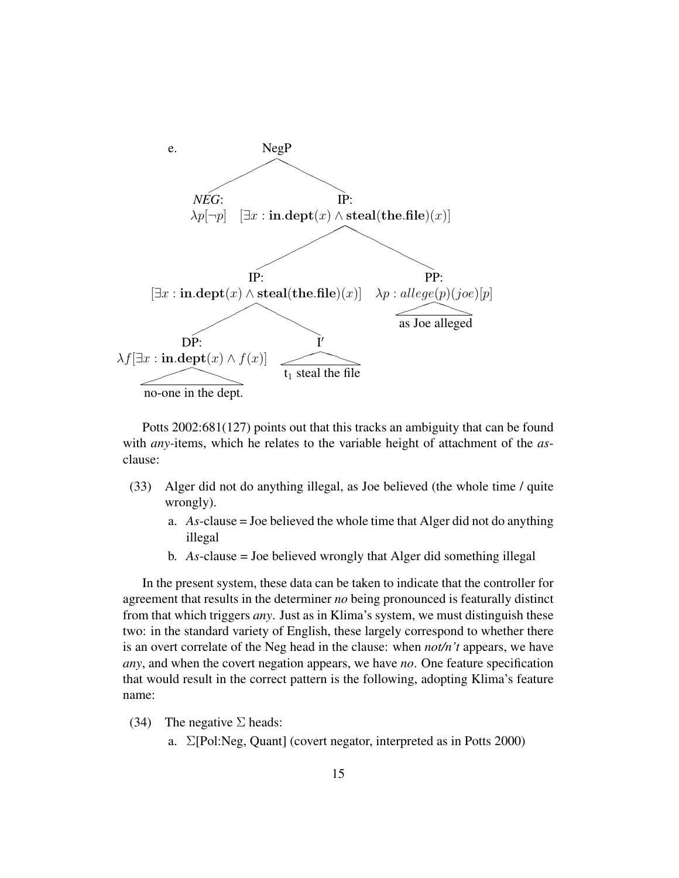

Potts 2002:681(127) points out that this tracks an ambiguity that can be found with *any-*items, which he relates to the variable height of attachment of the *as*clause:

- (33) Alger did not do anything illegal, as Joe believed (the whole time / quite wrongly).
	- a. *As*-clause = Joe believed the whole time that Alger did not do anything illegal
	- b. *As*-clause = Joe believed wrongly that Alger did something illegal

In the present system, these data can be taken to indicate that the controller for agreement that results in the determiner *no* being pronounced is featurally distinct from that which triggers *any*. Just as in Klima's system, we must distinguish these two: in the standard variety of English, these largely correspond to whether there is an overt correlate of the Neg head in the clause: when *not/n't* appears, we have *any*, and when the covert negation appears, we have *no*. One feature specification that would result in the correct pattern is the following, adopting Klima's feature name:

- (34) The negative  $\Sigma$  heads:
	- a. Σ[Pol:Neg, Quant] (covert negator, interpreted as in Potts 2000)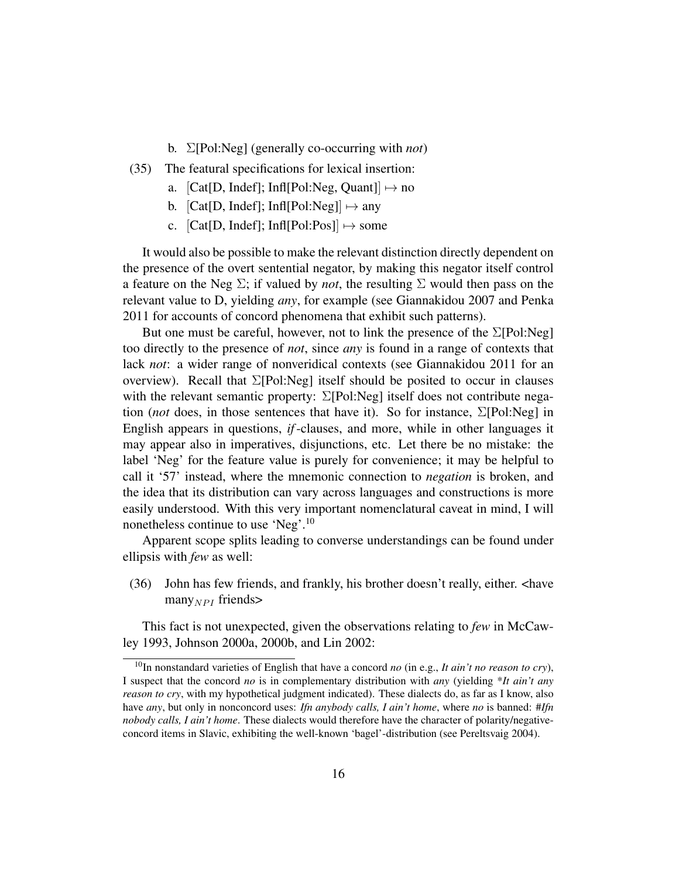- b. Σ[Pol:Neg] (generally co-occurring with *not*)
- (35) The featural specifications for lexical insertion:
	- a.  $[Cat[D, Indef]; Inf[Pol:Neg, Quant]] \mapsto no$
	- b.  $[Cat[D, Indef]; Inf[Pol:Neg]] \mapsto any$
	- c.  $[Cat[D, Indef]; Inf[Pol:Pos]] \mapsto$  some

It would also be possible to make the relevant distinction directly dependent on the presence of the overt sentential negator, by making this negator itself control a feature on the Neg  $\Sigma$ ; if valued by *not*, the resulting  $\Sigma$  would then pass on the relevant value to D, yielding *any*, for example (see Giannakidou 2007 and Penka 2011 for accounts of concord phenomena that exhibit such patterns).

But one must be careful, however, not to link the presence of the  $\Sigma$ [Pol:Neg] too directly to the presence of *not*, since *any* is found in a range of contexts that lack *not*: a wider range of nonveridical contexts (see Giannakidou 2011 for an overview). Recall that  $\Sigma$ [Pol:Neg] itself should be posited to occur in clauses with the relevant semantic property: Σ[Pol:Neg] itself does not contribute negation (*not* does, in those sentences that have it). So for instance, Σ[Pol:Neg] in English appears in questions, *if*-clauses, and more, while in other languages it may appear also in imperatives, disjunctions, etc. Let there be no mistake: the label 'Neg' for the feature value is purely for convenience; it may be helpful to call it '57' instead, where the mnemonic connection to *negation* is broken, and the idea that its distribution can vary across languages and constructions is more easily understood. With this very important nomenclatural caveat in mind, I will nonetheless continue to use 'Neg'.<sup>10</sup>

Apparent scope splits leading to converse understandings can be found under ellipsis with *few* as well:

(36) John has few friends, and frankly, his brother doesn't really, either. <have many $_{NPI}$  friends>

This fact is not unexpected, given the observations relating to *few* in McCawley 1993, Johnson 2000a, 2000b, and Lin 2002:

<sup>&</sup>lt;sup>10</sup>In nonstandard varieties of English that have a concord *no* (in e.g., *It ain't no reason to cry*), I suspect that the concord *no* is in complementary distribution with *any* (yielding \**It ain't any reason to cry*, with my hypothetical judgment indicated). These dialects do, as far as I know, also have *any*, but only in nonconcord uses: *Ifn anybody calls, I ain't home*, where *no* is banned: #*Ifn nobody calls, I ain't home*. These dialects would therefore have the character of polarity/negativeconcord items in Slavic, exhibiting the well-known 'bagel'-distribution (see Pereltsvaig 2004).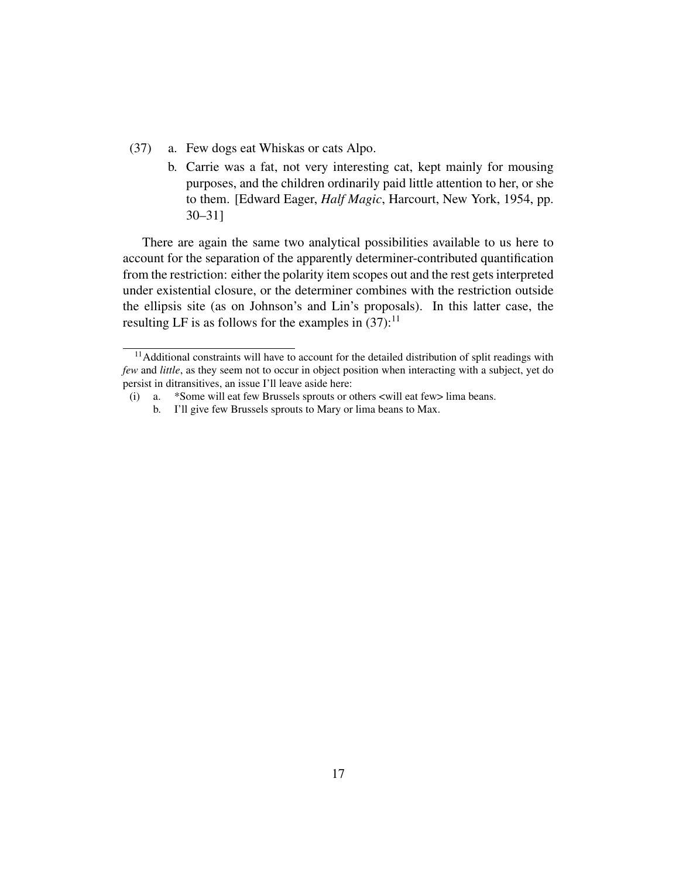- (37) a. Few dogs eat Whiskas or cats Alpo.
	- b. Carrie was a fat, not very interesting cat, kept mainly for mousing purposes, and the children ordinarily paid little attention to her, or she to them. [Edward Eager, *Half Magic*, Harcourt, New York, 1954, pp. 30–31]

There are again the same two analytical possibilities available to us here to account for the separation of the apparently determiner-contributed quantification from the restriction: either the polarity item scopes out and the rest gets interpreted under existential closure, or the determiner combines with the restriction outside the ellipsis site (as on Johnson's and Lin's proposals). In this latter case, the resulting LF is as follows for the examples in  $(37)$ :<sup>11</sup>

<sup>&</sup>lt;sup>11</sup> Additional constraints will have to account for the detailed distribution of split readings with *few* and *little*, as they seem not to occur in object position when interacting with a subject, yet do persist in ditransitives, an issue I'll leave aside here:

<sup>(</sup>i) a. \*Some will eat few Brussels sprouts or others <will eat few> lima beans.

b. I'll give few Brussels sprouts to Mary or lima beans to Max.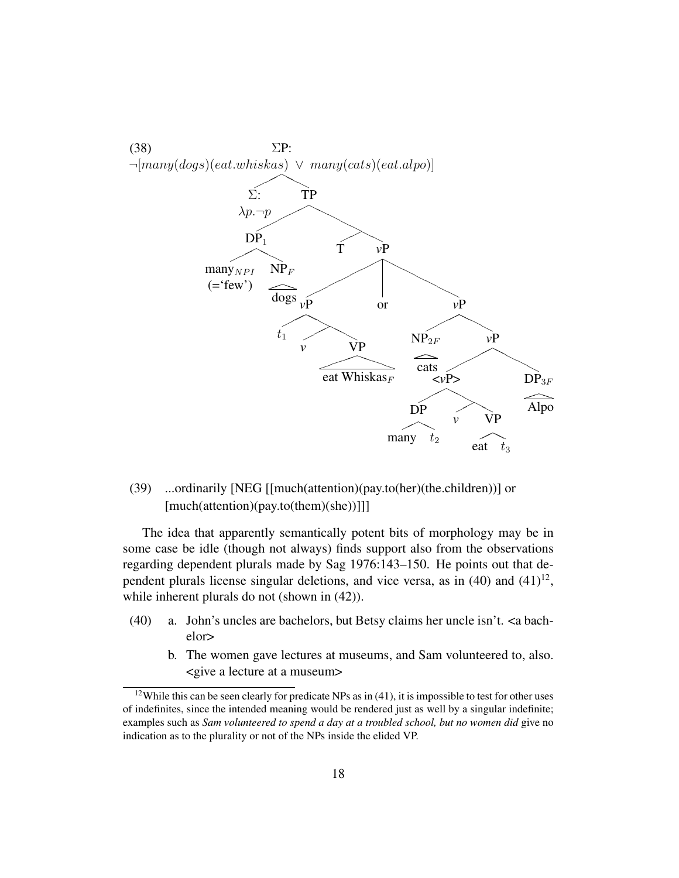

(39) ...ordinarily [NEG [[much(attention)(pay.to(her)(the.children))] or [much(attention)(pay.to(them)(she))]]]

The idea that apparently semantically potent bits of morphology may be in some case be idle (though not always) finds support also from the observations regarding dependent plurals made by Sag 1976:143–150. He points out that dependent plurals license singular deletions, and vice versa, as in  $(40)$  and  $(41)^{12}$ , while inherent plurals do not (shown in  $(42)$ ).

- (40) a. John's uncles are bachelors, but Betsy claims her uncle isn't. <a bachelor>
	- b. The women gave lectures at museums, and Sam volunteered to, also. <give a lecture at a museum>

 $12$ While this can be seen clearly for predicate NPs as in (41), it is impossible to test for other uses of indefinites, since the intended meaning would be rendered just as well by a singular indefinite; examples such as *Sam volunteered to spend a day at a troubled school, but no women did* give no indication as to the plurality or not of the NPs inside the elided VP.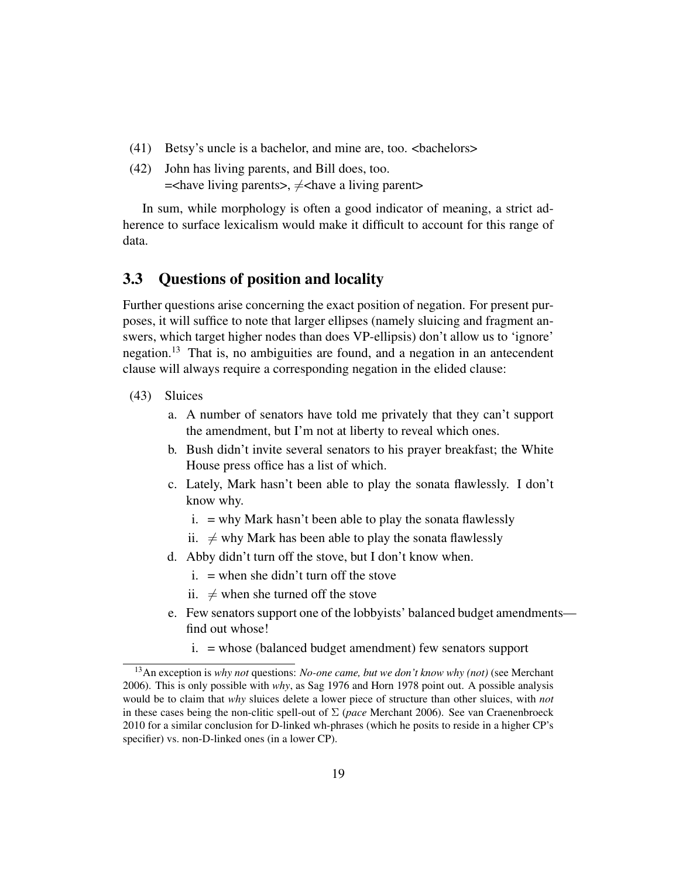- (41) Betsy's uncle is a bachelor, and mine are, too. <bachelors>
- (42) John has living parents, and Bill does, too.  $=$  < have living parents >,  $\neq$  < have a living parent >

In sum, while morphology is often a good indicator of meaning, a strict adherence to surface lexicalism would make it difficult to account for this range of data.

### 3.3 Questions of position and locality

Further questions arise concerning the exact position of negation. For present purposes, it will suffice to note that larger ellipses (namely sluicing and fragment answers, which target higher nodes than does VP-ellipsis) don't allow us to 'ignore' negation.<sup>13</sup> That is, no ambiguities are found, and a negation in an antecendent clause will always require a corresponding negation in the elided clause:

- (43) Sluices
	- a. A number of senators have told me privately that they can't support the amendment, but I'm not at liberty to reveal which ones.
	- b. Bush didn't invite several senators to his prayer breakfast; the White House press office has a list of which.
	- c. Lately, Mark hasn't been able to play the sonata flawlessly. I don't know why.
		- $i. =$  why Mark hasn't been able to play the sonata flawlessly
		- ii.  $\neq$  why Mark has been able to play the sonata flawlessly
	- d. Abby didn't turn off the stove, but I don't know when.
		- $i.$  = when she didn't turn off the stove
		- ii.  $\neq$  when she turned off the stove
	- e. Few senators support one of the lobbyists' balanced budget amendments find out whose!
		- i. = whose (balanced budget amendment) few senators support

<sup>13</sup>An exception is *why not* questions: *No-one came, but we don't know why (not)* (see Merchant 2006). This is only possible with *why*, as Sag 1976 and Horn 1978 point out. A possible analysis would be to claim that *why* sluices delete a lower piece of structure than other sluices, with *not* in these cases being the non-clitic spell-out of Σ (*pace* Merchant 2006). See van Craenenbroeck 2010 for a similar conclusion for D-linked wh-phrases (which he posits to reside in a higher CP's specifier) vs. non-D-linked ones (in a lower CP).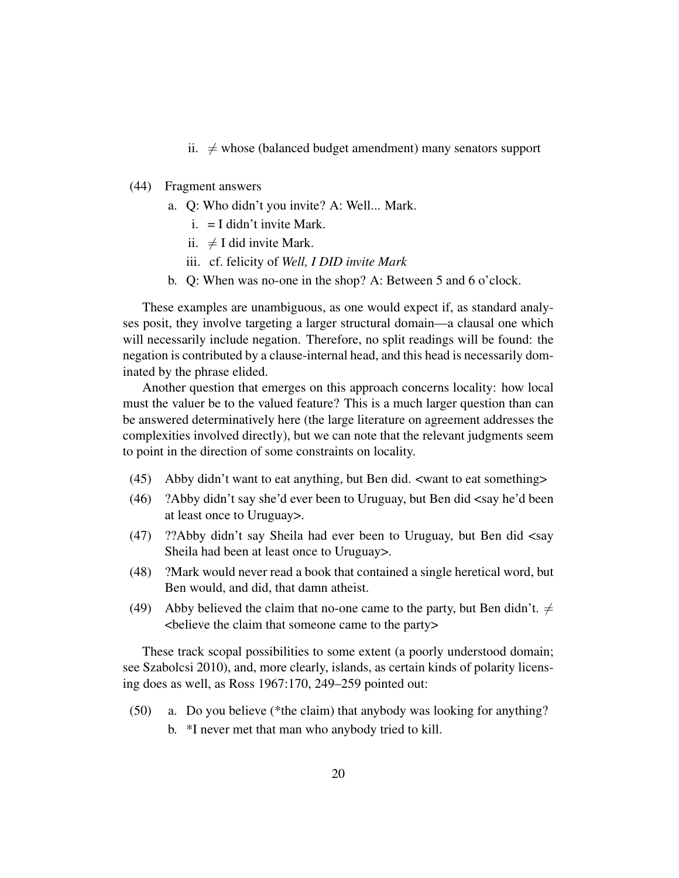- ii.  $\neq$  whose (balanced budget amendment) many senators support
- (44) Fragment answers
	- a. Q: Who didn't you invite? A: Well... Mark.
		- $i. = I$  didn't invite Mark.
		- ii.  $\neq$  I did invite Mark.
		- iii. cf. felicity of *Well, I DID invite Mark*
	- b. Q: When was no-one in the shop? A: Between 5 and 6 o'clock.

These examples are unambiguous, as one would expect if, as standard analyses posit, they involve targeting a larger structural domain—a clausal one which will necessarily include negation. Therefore, no split readings will be found: the negation is contributed by a clause-internal head, and this head is necessarily dominated by the phrase elided.

Another question that emerges on this approach concerns locality: how local must the valuer be to the valued feature? This is a much larger question than can be answered determinatively here (the large literature on agreement addresses the complexities involved directly), but we can note that the relevant judgments seem to point in the direction of some constraints on locality.

- (45) Abby didn't want to eat anything, but Ben did. <want to eat something>
- (46) ?Abby didn't say she'd ever been to Uruguay, but Ben did <say he'd been at least once to Uruguay>.
- (47) ??Abby didn't say Sheila had ever been to Uruguay, but Ben did <say Sheila had been at least once to Uruguay>.
- (48) ?Mark would never read a book that contained a single heretical word, but Ben would, and did, that damn atheist.
- (49) Abby believed the claim that no-one came to the party, but Ben didn't.  $\neq$ <believe the claim that someone came to the party>

These track scopal possibilities to some extent (a poorly understood domain; see Szabolcsi 2010), and, more clearly, islands, as certain kinds of polarity licensing does as well, as Ross 1967:170, 249–259 pointed out:

(50) a. Do you believe (\*the claim) that anybody was looking for anything? b. \*I never met that man who anybody tried to kill.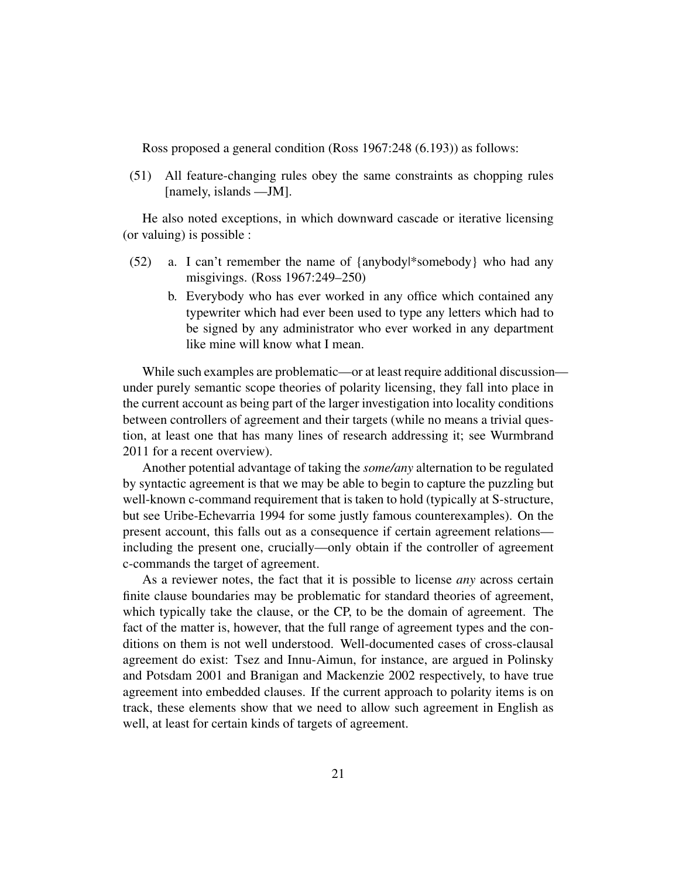Ross proposed a general condition (Ross 1967:248 (6.193)) as follows:

(51) All feature-changing rules obey the same constraints as chopping rules [namely, islands —JM].

He also noted exceptions, in which downward cascade or iterative licensing (or valuing) is possible :

- (52) a. I can't remember the name of {anybody|\*somebody} who had any misgivings. (Ross 1967:249–250)
	- b. Everybody who has ever worked in any office which contained any typewriter which had ever been used to type any letters which had to be signed by any administrator who ever worked in any department like mine will know what I mean.

While such examples are problematic—or at least require additional discussionunder purely semantic scope theories of polarity licensing, they fall into place in the current account as being part of the larger investigation into locality conditions between controllers of agreement and their targets (while no means a trivial question, at least one that has many lines of research addressing it; see Wurmbrand 2011 for a recent overview).

Another potential advantage of taking the *some/any* alternation to be regulated by syntactic agreement is that we may be able to begin to capture the puzzling but well-known c-command requirement that is taken to hold (typically at S-structure, but see Uribe-Echevarria 1994 for some justly famous counterexamples). On the present account, this falls out as a consequence if certain agreement relations including the present one, crucially—only obtain if the controller of agreement c-commands the target of agreement.

As a reviewer notes, the fact that it is possible to license *any* across certain finite clause boundaries may be problematic for standard theories of agreement, which typically take the clause, or the CP, to be the domain of agreement. The fact of the matter is, however, that the full range of agreement types and the conditions on them is not well understood. Well-documented cases of cross-clausal agreement do exist: Tsez and Innu-Aimun, for instance, are argued in Polinsky and Potsdam 2001 and Branigan and Mackenzie 2002 respectively, to have true agreement into embedded clauses. If the current approach to polarity items is on track, these elements show that we need to allow such agreement in English as well, at least for certain kinds of targets of agreement.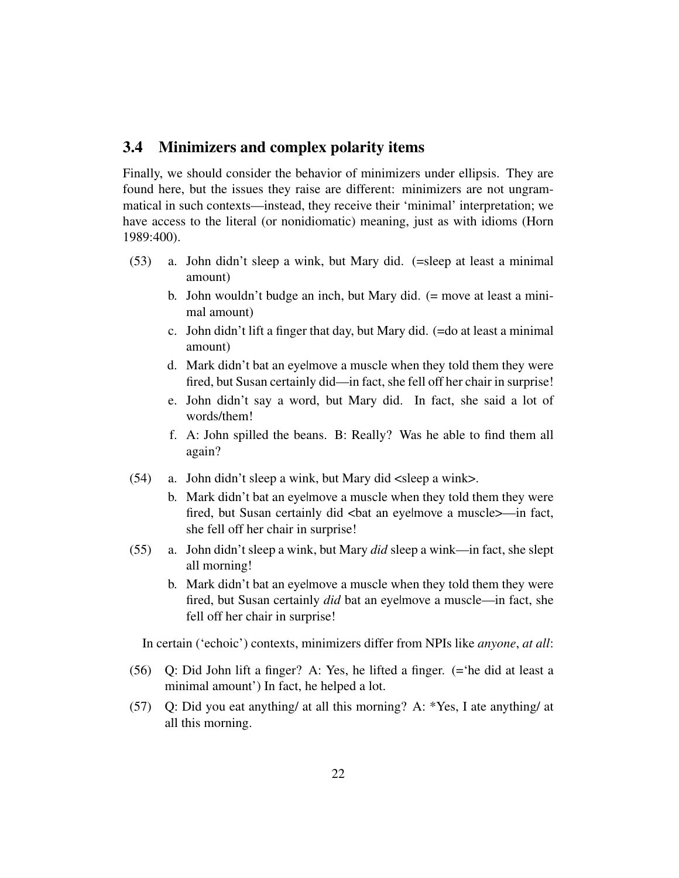### 3.4 Minimizers and complex polarity items

Finally, we should consider the behavior of minimizers under ellipsis. They are found here, but the issues they raise are different: minimizers are not ungrammatical in such contexts—instead, they receive their 'minimal' interpretation; we have access to the literal (or nonidiomatic) meaning, just as with idioms (Horn 1989:400).

- (53) a. John didn't sleep a wink, but Mary did. (=sleep at least a minimal amount)
	- b. John wouldn't budge an inch, but Mary did. (= move at least a minimal amount)
	- c. John didn't lift a finger that day, but Mary did. (=do at least a minimal amount)
	- d. Mark didn't bat an eye|move a muscle when they told them they were fired, but Susan certainly did—in fact, she fell off her chair in surprise!
	- e. John didn't say a word, but Mary did. In fact, she said a lot of words/them!
	- f. A: John spilled the beans. B: Really? Was he able to find them all again?
- (54) a. John didn't sleep a wink, but Mary did <sleep a wink>.
	- b. Mark didn't bat an eye|move a muscle when they told them they were fired, but Susan certainly did <br/> <br/>dat an eyelmove a muscle>—in fact, she fell off her chair in surprise!
- (55) a. John didn't sleep a wink, but Mary *did* sleep a wink—in fact, she slept all morning!
	- b. Mark didn't bat an eye|move a muscle when they told them they were fired, but Susan certainly *did* bat an eye|move a muscle—in fact, she fell off her chair in surprise!

In certain ('echoic') contexts, minimizers differ from NPIs like *anyone*, *at all*:

- (56) Q: Did John lift a finger? A: Yes, he lifted a finger. (='he did at least a minimal amount') In fact, he helped a lot.
- (57) Q: Did you eat anything/ at all this morning? A: \*Yes, I ate anything/ at all this morning.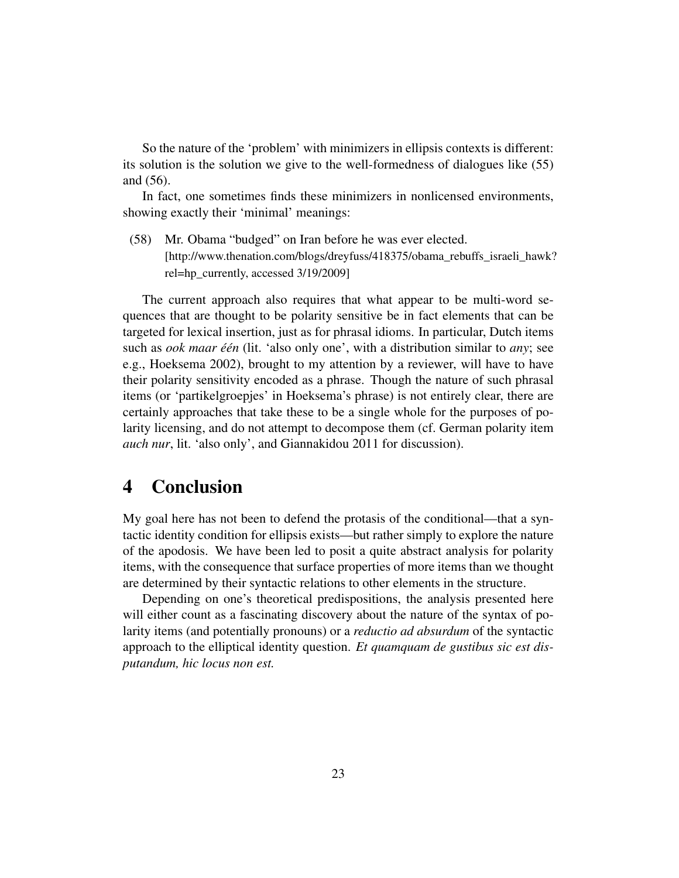So the nature of the 'problem' with minimizers in ellipsis contexts is different: its solution is the solution we give to the well-formedness of dialogues like (55) and (56).

In fact, one sometimes finds these minimizers in nonlicensed environments, showing exactly their 'minimal' meanings:

(58) Mr. Obama "budged" on Iran before he was ever elected. [http://www.thenation.com/blogs/dreyfuss/418375/obama\_rebuffs\_israeli\_hawk? rel=hp\_currently, accessed 3/19/2009]

The current approach also requires that what appear to be multi-word sequences that are thought to be polarity sensitive be in fact elements that can be targeted for lexical insertion, just as for phrasal idioms. In particular, Dutch items such as *ook maar één* (lit. 'also only one', with a distribution similar to *any*; see e.g., Hoeksema 2002), brought to my attention by a reviewer, will have to have their polarity sensitivity encoded as a phrase. Though the nature of such phrasal items (or 'partikelgroepjes' in Hoeksema's phrase) is not entirely clear, there are certainly approaches that take these to be a single whole for the purposes of polarity licensing, and do not attempt to decompose them (cf. German polarity item *auch nur*, lit. 'also only', and Giannakidou 2011 for discussion).

## 4 Conclusion

My goal here has not been to defend the protasis of the conditional—that a syntactic identity condition for ellipsis exists—but rather simply to explore the nature of the apodosis. We have been led to posit a quite abstract analysis for polarity items, with the consequence that surface properties of more items than we thought are determined by their syntactic relations to other elements in the structure.

Depending on one's theoretical predispositions, the analysis presented here will either count as a fascinating discovery about the nature of the syntax of polarity items (and potentially pronouns) or a *reductio ad absurdum* of the syntactic approach to the elliptical identity question. *Et quamquam de gustibus sic est disputandum, hic locus non est.*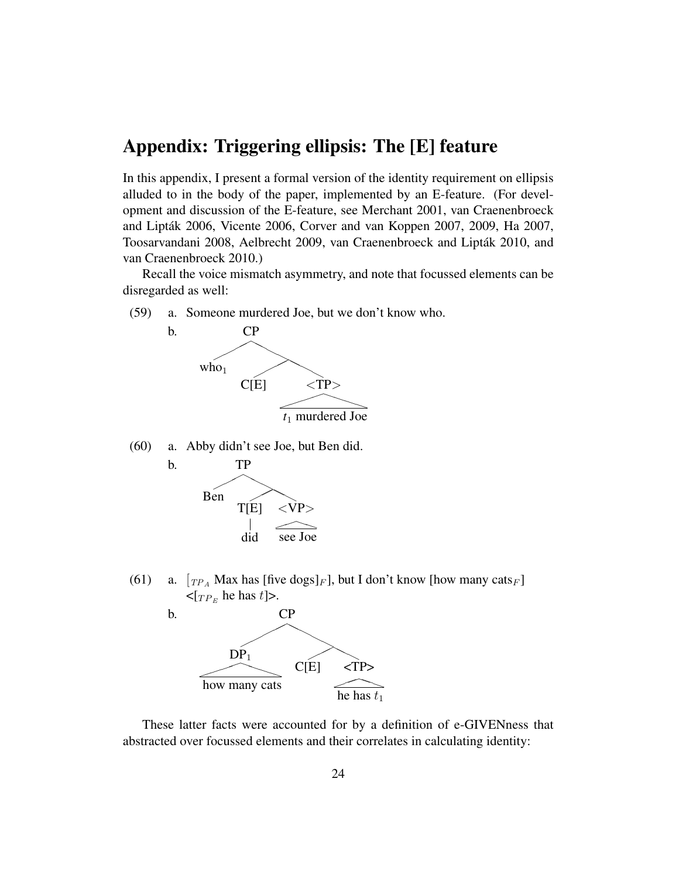## Appendix: Triggering ellipsis: The [E] feature

In this appendix, I present a formal version of the identity requirement on ellipsis alluded to in the body of the paper, implemented by an E-feature. (For development and discussion of the E-feature, see Merchant 2001, van Craenenbroeck and Lipták 2006, Vicente 2006, Corver and van Koppen 2007, 2009, Ha 2007, Toosarvandani 2008, Aelbrecht 2009, van Craenenbroeck and Lipták 2010, and van Craenenbroeck 2010.)

Recall the voice mismatch asymmetry, and note that focussed elements can be disregarded as well:

(59) a. Someone murdered Joe, but we don't know who.



(60) a. Abby didn't see Joe, but Ben did.



(61) a.  $[T_{P_A}$  Max has [five dogs]<sub>F</sub>], but I don't know [how many cats<sub>F</sub>]  $\langle \Gamma_{TP_E}$  he has t]>.



These latter facts were accounted for by a definition of e-GIVENness that abstracted over focussed elements and their correlates in calculating identity: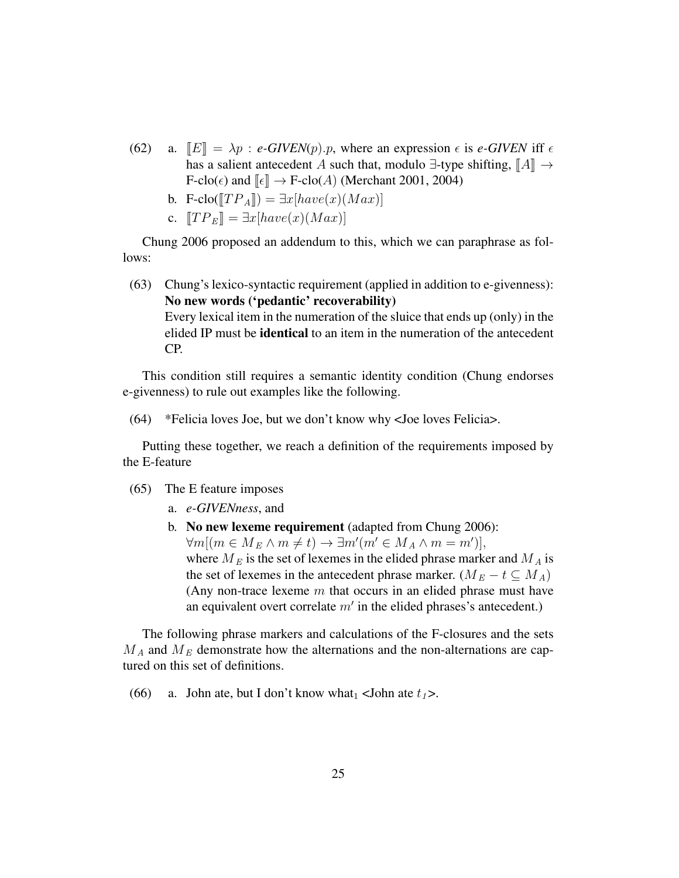- (62) a.  $\mathbb{E}$  =  $\lambda p$  : *e-GIVEN*(*p*).*p*, where an expression  $\epsilon$  is *e-GIVEN* iff  $\epsilon$ has a salient antecedent A such that, modulo  $\exists$ -type shifting,  $\llbracket A \rrbracket \rightarrow$  $F\text{-clo}(\epsilon)$  and  $\llbracket \epsilon \rrbracket \to F\text{-clo}(A)$  (Merchant 2001, 2004)
	- b. F-clo( $[TP_A]$ ) =  $\exists x[have(x)(Max)]$
	- c.  $T P_E$  =  $\exists x [have(x)(Max)]$

Chung 2006 proposed an addendum to this, which we can paraphrase as follows:

(63) Chung's lexico-syntactic requirement (applied in addition to e-givenness): No new words ('pedantic' recoverability) Every lexical item in the numeration of the sluice that ends up (only) in the elided IP must be **identical** to an item in the numeration of the antecedent CP.

This condition still requires a semantic identity condition (Chung endorses e-givenness) to rule out examples like the following.

(64) \*Felicia loves Joe, but we don't know why <Joe loves Felicia>.

Putting these together, we reach a definition of the requirements imposed by the E-feature

- (65) The E feature imposes
	- a. *e-GIVENness*, and
	- b. No new lexeme requirement (adapted from Chung 2006):  $\forall m[(m \in M_E \land m \neq t) \rightarrow \exists m'(m' \in M_A \land m = m')],$ where  $M_E$  is the set of lexemes in the elided phrase marker and  $M_A$  is the set of lexemes in the antecedent phrase marker. ( $M_E - t \subseteq M_A$ ) (Any non-trace lexeme  $m$  that occurs in an elided phrase must have an equivalent overt correlate  $m'$  in the elided phrases's antecedent.)

The following phrase markers and calculations of the F-closures and the sets  $M_A$  and  $M_E$  demonstrate how the alternations and the non-alternations are captured on this set of definitions.

(66) a. John ate, but I don't know what<sub>1</sub> <John ate  $t_1$ >.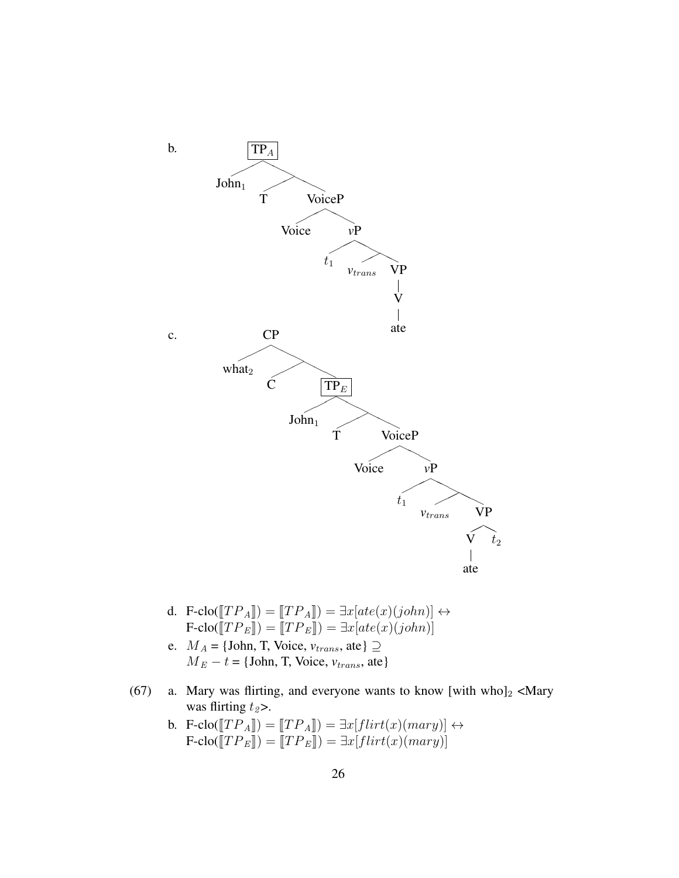

- d. F-clo( $[TP_A]$ ) =  $[TP_A]$ ) =  $\exists x[ate(x)(john)] \leftrightarrow$  $\mathbf{F\text{-}clo}(\mathbf{\llbracket}TP_E\mathbf{\llbracket}) = \mathbf{\llbracket}TP_E\mathbf{\llbracket}) = \exists x[ate(x)(john)]$
- e.  $M_A = \{\text{John}, \text{T}, \text{Voice}, \text{v}_{trans}, \text{ate}\}\supseteq$  $M_E - t = \{John, T, Voice, v_{trans}, ate\}$
- (67) a. Mary was flirting, and everyone wants to know [with who] $_2$  <Mary was flirting  $t_2$ >.
	- b. F-clo( $[TP_A]$ ) =  $[TP_A]$ ) =  $\exists x \left[ filter(x)(mary) \right] \leftrightarrow$ <br>E clo( $[TP_A]$ ) =  $[TP_A]$ ) =  $\exists x \left[ filter(x)(margin) \right]$  $\text{F-clo}(\llbracket TP_E \rrbracket) = \llbracket TP_E \rrbracket) = \exists x [flirt(x)(mary)]$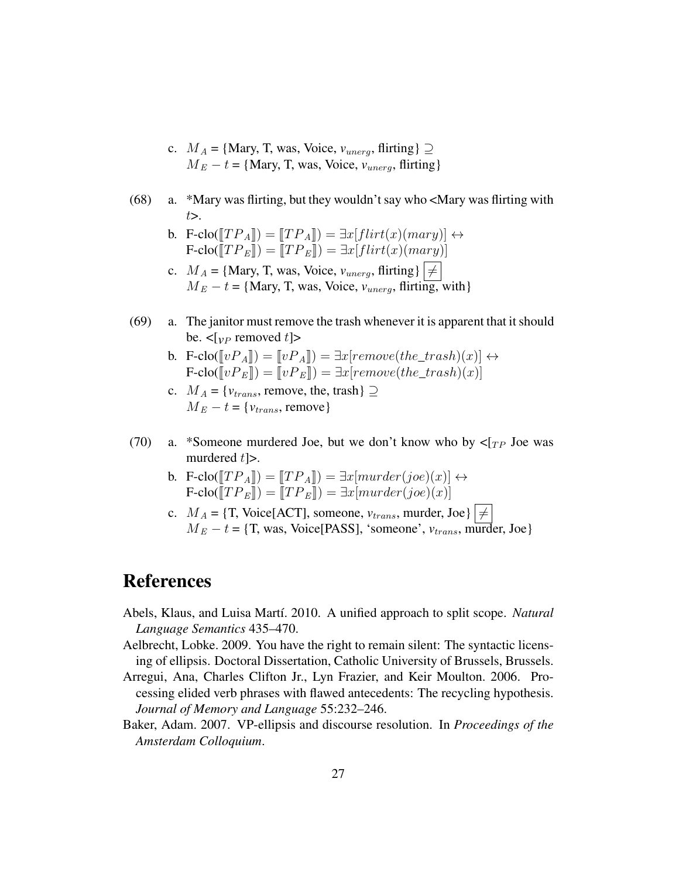- c.  $M_A = \{ \text{Mary}, \text{T}, \text{was}, \text{Voice}, \text{v}_{\text{unerg}}, \text{flitting} \} \supseteq$  $M_E - t = \{Mary, T, was, Voice, v_{unera}, flitting\}$
- (68) a. \*Mary was flirting, but they wouldn't say who <Mary was flirting with  $t$ .
	- b. F-clo( $[TP_A]$ ) =  $[TP_A]$ ) =  $\exists x [flirt(x)(mary)] \leftrightarrow$  $\text{F-clo}(\llbracket TP_E \rrbracket) = \llbracket TP_E \rrbracket) = \exists x[flirt(x)(mary)]$
	- c.  $M_A = \{Mary, T, was, Voice, v_{unerg}, fitting\}$  $M_E - t = \{Mary, T, was, Voice, v_{unerg}, flirting, with\}$
- (69) a. The janitor must remove the trash whenever it is apparent that it should be.  $\leq$ [ $_{VP}$  removed t]>
	- b. F-clo( $[vP_A]$ ) =  $[ vP_A ]$ ) =  $\exists x [remove(the\_trash)(x)] \leftrightarrow$  $F\text{-clo}(\llbracket v P_E \rrbracket) = \llbracket v P_E \rrbracket) = \exists x [remove(the\_track)(x)]$
	- c.  $M_A = \{v_{trans},$  remove, the, trash $\} \supseteq$  $M_E - t = \{v_{trans},$  remove}
- (70) a. \*Someone murdered Joe, but we don't know who by  $\langle \tau_{TP}$  Joe was murdered  $t$  $>$ .
	- b. F-clo( $[TP_A]$ ) =  $[TP_A]$ ) =  $\exists x [murder(joe)(x)] \leftrightarrow$  $\text{F-clo}(\llbracket TP_E \rrbracket) = \llbracket TP_E \rrbracket) = \exists x[murder(joe)(x)]$
	- c.  $M_A = \{T, \text{ Voice}[\text{ACT}], \text{ someone}, v_{trans}, \text{ murder}, \text{Joe}\}\neq$  $M_E - t = \{T, was, Voice[PASS], 'someone', v_{trans}, murder, Joe\}$

## References

- Abels, Klaus, and Luisa Martí. 2010. A unified approach to split scope. *Natural Language Semantics* 435–470.
- Aelbrecht, Lobke. 2009. You have the right to remain silent: The syntactic licensing of ellipsis. Doctoral Dissertation, Catholic University of Brussels, Brussels.
- Arregui, Ana, Charles Clifton Jr., Lyn Frazier, and Keir Moulton. 2006. Processing elided verb phrases with flawed antecedents: The recycling hypothesis. *Journal of Memory and Language* 55:232–246.
- Baker, Adam. 2007. VP-ellipsis and discourse resolution. In *Proceedings of the Amsterdam Colloquium*.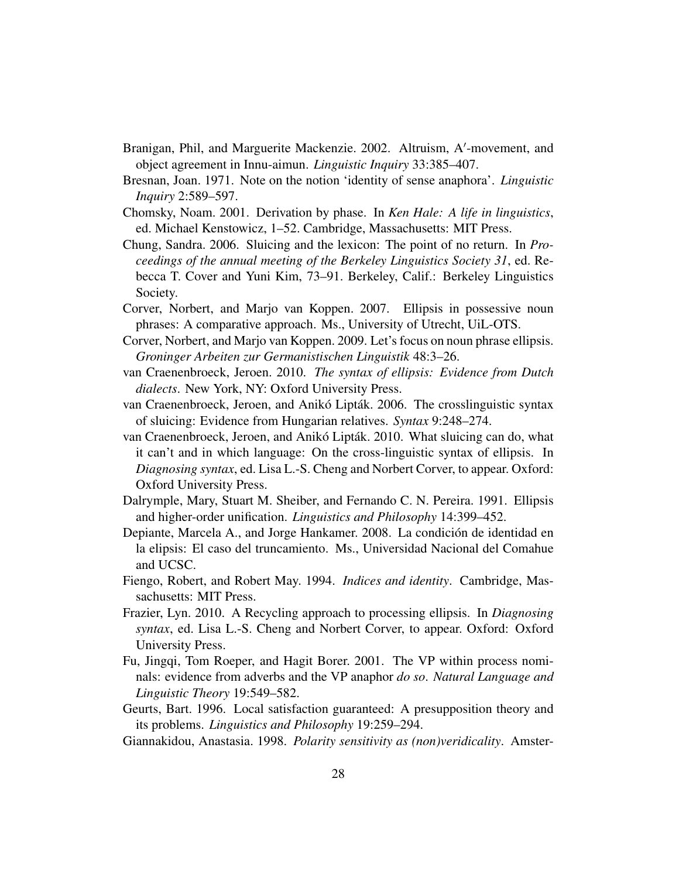- Branigan, Phil, and Marguerite Mackenzie. 2002. Altruism, A'-movement, and object agreement in Innu-aimun. *Linguistic Inquiry* 33:385–407.
- Bresnan, Joan. 1971. Note on the notion 'identity of sense anaphora'. *Linguistic Inquiry* 2:589–597.
- Chomsky, Noam. 2001. Derivation by phase. In *Ken Hale: A life in linguistics*, ed. Michael Kenstowicz, 1–52. Cambridge, Massachusetts: MIT Press.
- Chung, Sandra. 2006. Sluicing and the lexicon: The point of no return. In *Proceedings of the annual meeting of the Berkeley Linguistics Society 31*, ed. Rebecca T. Cover and Yuni Kim, 73–91. Berkeley, Calif.: Berkeley Linguistics Society.
- Corver, Norbert, and Marjo van Koppen. 2007. Ellipsis in possessive noun phrases: A comparative approach. Ms., University of Utrecht, UiL-OTS.
- Corver, Norbert, and Marjo van Koppen. 2009. Let's focus on noun phrase ellipsis. *Groninger Arbeiten zur Germanistischen Linguistik* 48:3–26.
- van Craenenbroeck, Jeroen. 2010. *The syntax of ellipsis: Evidence from Dutch dialects*. New York, NY: Oxford University Press.
- van Craenenbroeck, Jeroen, and Anikó Lipták. 2006. The crosslinguistic syntax of sluicing: Evidence from Hungarian relatives. *Syntax* 9:248–274.
- van Craenenbroeck, Jeroen, and Anikó Lipták. 2010. What sluicing can do, what it can't and in which language: On the cross-linguistic syntax of ellipsis. In *Diagnosing syntax*, ed. Lisa L.-S. Cheng and Norbert Corver, to appear. Oxford: Oxford University Press.
- Dalrymple, Mary, Stuart M. Sheiber, and Fernando C. N. Pereira. 1991. Ellipsis and higher-order unification. *Linguistics and Philosophy* 14:399–452.
- Depiante, Marcela A., and Jorge Hankamer. 2008. La condición de identidad en la elipsis: El caso del truncamiento. Ms., Universidad Nacional del Comahue and UCSC.
- Fiengo, Robert, and Robert May. 1994. *Indices and identity*. Cambridge, Massachusetts: MIT Press.
- Frazier, Lyn. 2010. A Recycling approach to processing ellipsis. In *Diagnosing syntax*, ed. Lisa L.-S. Cheng and Norbert Corver, to appear. Oxford: Oxford University Press.
- Fu, Jingqi, Tom Roeper, and Hagit Borer. 2001. The VP within process nominals: evidence from adverbs and the VP anaphor *do so*. *Natural Language and Linguistic Theory* 19:549–582.
- Geurts, Bart. 1996. Local satisfaction guaranteed: A presupposition theory and its problems. *Linguistics and Philosophy* 19:259–294.
- Giannakidou, Anastasia. 1998. *Polarity sensitivity as (non)veridicality*. Amster-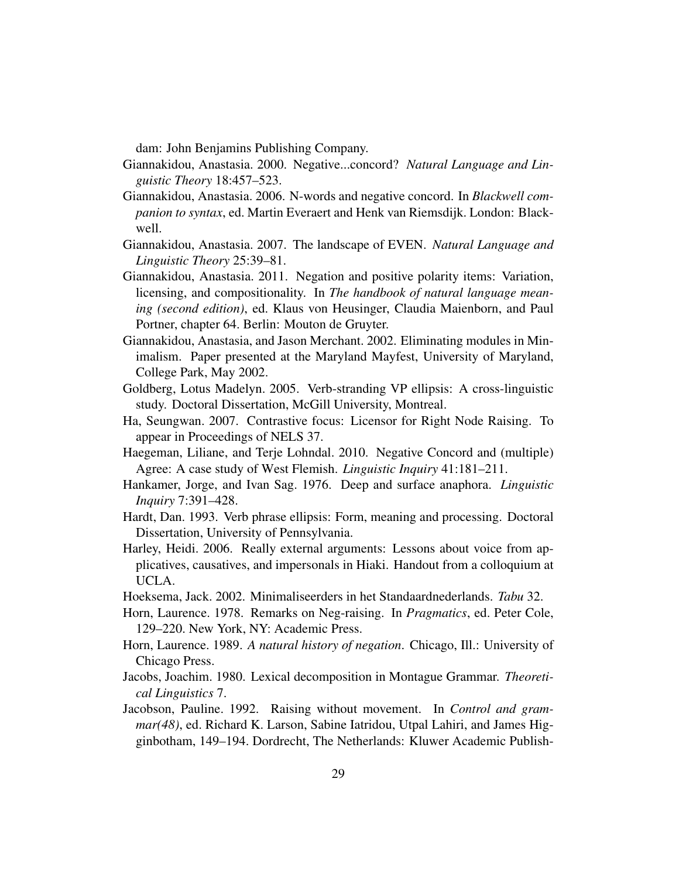dam: John Benjamins Publishing Company.

- Giannakidou, Anastasia. 2000. Negative...concord? *Natural Language and Linguistic Theory* 18:457–523.
- Giannakidou, Anastasia. 2006. N-words and negative concord. In *Blackwell companion to syntax*, ed. Martin Everaert and Henk van Riemsdijk. London: Blackwell.
- Giannakidou, Anastasia. 2007. The landscape of EVEN. *Natural Language and Linguistic Theory* 25:39–81.
- Giannakidou, Anastasia. 2011. Negation and positive polarity items: Variation, licensing, and compositionality. In *The handbook of natural language meaning (second edition)*, ed. Klaus von Heusinger, Claudia Maienborn, and Paul Portner, chapter 64. Berlin: Mouton de Gruyter.
- Giannakidou, Anastasia, and Jason Merchant. 2002. Eliminating modules in Minimalism. Paper presented at the Maryland Mayfest, University of Maryland, College Park, May 2002.
- Goldberg, Lotus Madelyn. 2005. Verb-stranding VP ellipsis: A cross-linguistic study. Doctoral Dissertation, McGill University, Montreal.
- Ha, Seungwan. 2007. Contrastive focus: Licensor for Right Node Raising. To appear in Proceedings of NELS 37.
- Haegeman, Liliane, and Terje Lohndal. 2010. Negative Concord and (multiple) Agree: A case study of West Flemish. *Linguistic Inquiry* 41:181–211.
- Hankamer, Jorge, and Ivan Sag. 1976. Deep and surface anaphora. *Linguistic Inquiry* 7:391–428.
- Hardt, Dan. 1993. Verb phrase ellipsis: Form, meaning and processing. Doctoral Dissertation, University of Pennsylvania.
- Harley, Heidi. 2006. Really external arguments: Lessons about voice from applicatives, causatives, and impersonals in Hiaki. Handout from a colloquium at UCLA.
- Hoeksema, Jack. 2002. Minimaliseerders in het Standaardnederlands. *Tabu* 32.
- Horn, Laurence. 1978. Remarks on Neg-raising. In *Pragmatics*, ed. Peter Cole, 129–220. New York, NY: Academic Press.
- Horn, Laurence. 1989. *A natural history of negation*. Chicago, Ill.: University of Chicago Press.
- Jacobs, Joachim. 1980. Lexical decomposition in Montague Grammar. *Theoretical Linguistics* 7.
- Jacobson, Pauline. 1992. Raising without movement. In *Control and grammar(48)*, ed. Richard K. Larson, Sabine Iatridou, Utpal Lahiri, and James Higginbotham, 149–194. Dordrecht, The Netherlands: Kluwer Academic Publish-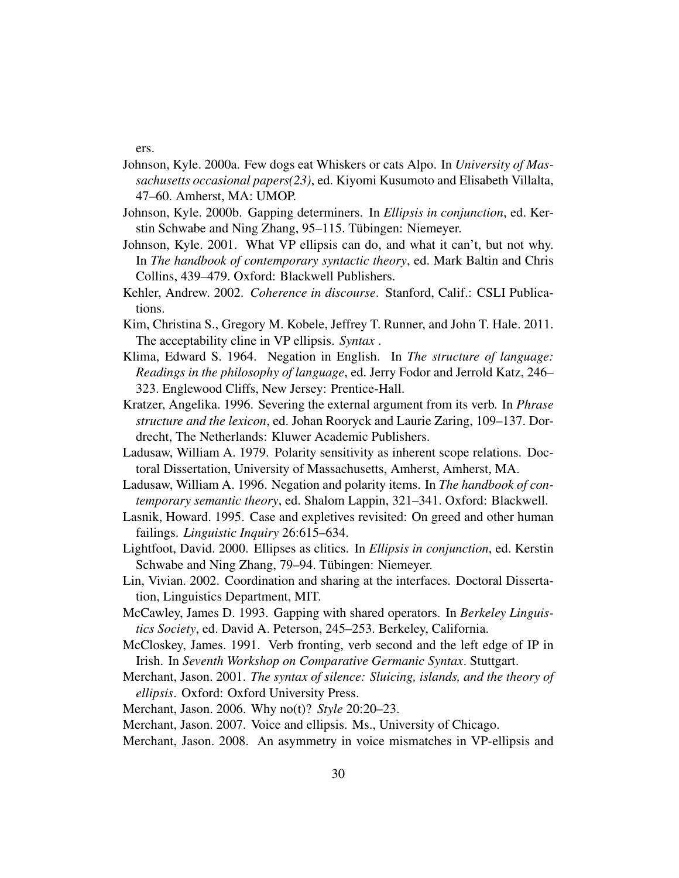ers.

- Johnson, Kyle. 2000a. Few dogs eat Whiskers or cats Alpo. In *University of Massachusetts occasional papers(23)*, ed. Kiyomi Kusumoto and Elisabeth Villalta, 47–60. Amherst, MA: UMOP.
- Johnson, Kyle. 2000b. Gapping determiners. In *Ellipsis in conjunction*, ed. Kerstin Schwabe and Ning Zhang, 95–115. Tübingen: Niemeyer.
- Johnson, Kyle. 2001. What VP ellipsis can do, and what it can't, but not why. In *The handbook of contemporary syntactic theory*, ed. Mark Baltin and Chris Collins, 439–479. Oxford: Blackwell Publishers.
- Kehler, Andrew. 2002. *Coherence in discourse*. Stanford, Calif.: CSLI Publications.
- Kim, Christina S., Gregory M. Kobele, Jeffrey T. Runner, and John T. Hale. 2011. The acceptability cline in VP ellipsis. *Syntax* .
- Klima, Edward S. 1964. Negation in English. In *The structure of language: Readings in the philosophy of language*, ed. Jerry Fodor and Jerrold Katz, 246– 323. Englewood Cliffs, New Jersey: Prentice-Hall.
- Kratzer, Angelika. 1996. Severing the external argument from its verb. In *Phrase structure and the lexicon*, ed. Johan Rooryck and Laurie Zaring, 109–137. Dordrecht, The Netherlands: Kluwer Academic Publishers.
- Ladusaw, William A. 1979. Polarity sensitivity as inherent scope relations. Doctoral Dissertation, University of Massachusetts, Amherst, Amherst, MA.
- Ladusaw, William A. 1996. Negation and polarity items. In *The handbook of contemporary semantic theory*, ed. Shalom Lappin, 321–341. Oxford: Blackwell.
- Lasnik, Howard. 1995. Case and expletives revisited: On greed and other human failings. *Linguistic Inquiry* 26:615–634.
- Lightfoot, David. 2000. Ellipses as clitics. In *Ellipsis in conjunction*, ed. Kerstin Schwabe and Ning Zhang, 79–94. Tübingen: Niemeyer.
- Lin, Vivian. 2002. Coordination and sharing at the interfaces. Doctoral Dissertation, Linguistics Department, MIT.
- McCawley, James D. 1993. Gapping with shared operators. In *Berkeley Linguistics Society*, ed. David A. Peterson, 245–253. Berkeley, California.
- McCloskey, James. 1991. Verb fronting, verb second and the left edge of IP in Irish. In *Seventh Workshop on Comparative Germanic Syntax*. Stuttgart.
- Merchant, Jason. 2001. *The syntax of silence: Sluicing, islands, and the theory of ellipsis*. Oxford: Oxford University Press.

Merchant, Jason. 2006. Why no(t)? *Style* 20:20–23.

- Merchant, Jason. 2007. Voice and ellipsis. Ms., University of Chicago.
- Merchant, Jason. 2008. An asymmetry in voice mismatches in VP-ellipsis and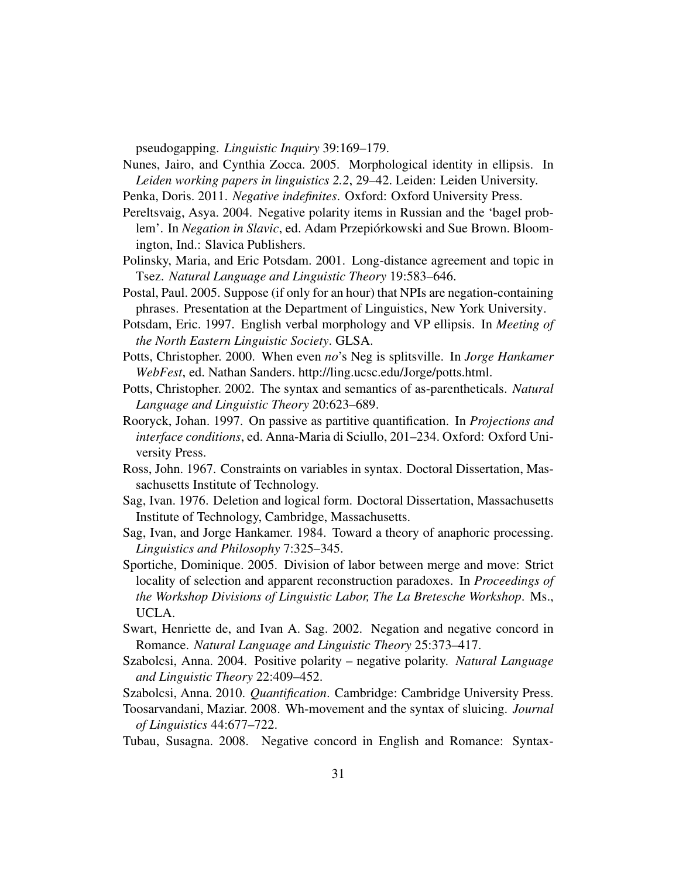pseudogapping. *Linguistic Inquiry* 39:169–179.

Nunes, Jairo, and Cynthia Zocca. 2005. Morphological identity in ellipsis. In *Leiden working papers in linguistics 2.2*, 29–42. Leiden: Leiden University.

- Penka, Doris. 2011. *Negative indefinites*. Oxford: Oxford University Press.
- Pereltsvaig, Asya. 2004. Negative polarity items in Russian and the 'bagel problem'. In *Negation in Slavic*, ed. Adam Przepiórkowski and Sue Brown. Bloomington, Ind.: Slavica Publishers.
- Polinsky, Maria, and Eric Potsdam. 2001. Long-distance agreement and topic in Tsez. *Natural Language and Linguistic Theory* 19:583–646.
- Postal, Paul. 2005. Suppose (if only for an hour) that NPIs are negation-containing phrases. Presentation at the Department of Linguistics, New York University.
- Potsdam, Eric. 1997. English verbal morphology and VP ellipsis. In *Meeting of the North Eastern Linguistic Society*. GLSA.
- Potts, Christopher. 2000. When even *no*'s Neg is splitsville. In *Jorge Hankamer WebFest*, ed. Nathan Sanders. http://ling.ucsc.edu/Jorge/potts.html.
- Potts, Christopher. 2002. The syntax and semantics of as-parentheticals. *Natural Language and Linguistic Theory* 20:623–689.
- Rooryck, Johan. 1997. On passive as partitive quantification. In *Projections and interface conditions*, ed. Anna-Maria di Sciullo, 201–234. Oxford: Oxford University Press.
- Ross, John. 1967. Constraints on variables in syntax. Doctoral Dissertation, Massachusetts Institute of Technology.
- Sag, Ivan. 1976. Deletion and logical form. Doctoral Dissertation, Massachusetts Institute of Technology, Cambridge, Massachusetts.
- Sag, Ivan, and Jorge Hankamer. 1984. Toward a theory of anaphoric processing. *Linguistics and Philosophy* 7:325–345.
- Sportiche, Dominique. 2005. Division of labor between merge and move: Strict locality of selection and apparent reconstruction paradoxes. In *Proceedings of the Workshop Divisions of Linguistic Labor, The La Bretesche Workshop*. Ms., UCLA.
- Swart, Henriette de, and Ivan A. Sag. 2002. Negation and negative concord in Romance. *Natural Language and Linguistic Theory* 25:373–417.
- Szabolcsi, Anna. 2004. Positive polarity negative polarity. *Natural Language and Linguistic Theory* 22:409–452.
- Szabolcsi, Anna. 2010. *Quantification*. Cambridge: Cambridge University Press.
- Toosarvandani, Maziar. 2008. Wh-movement and the syntax of sluicing. *Journal of Linguistics* 44:677–722.
- Tubau, Susagna. 2008. Negative concord in English and Romance: Syntax-